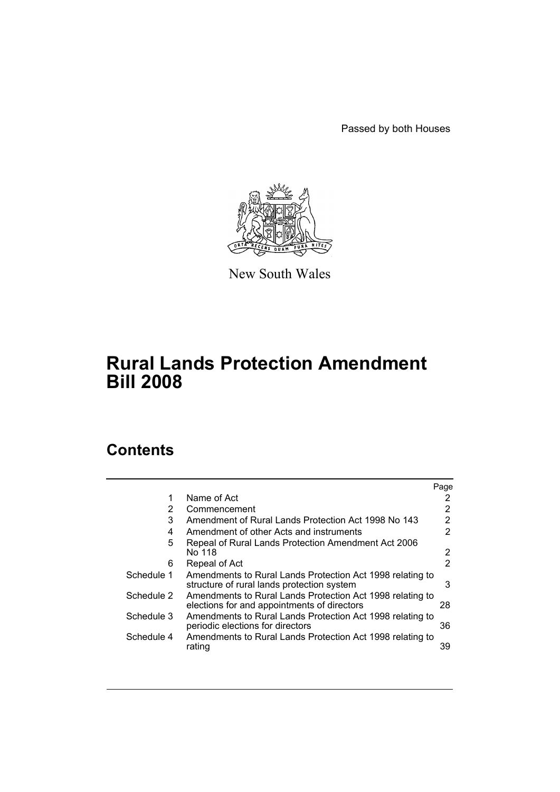Passed by both Houses



New South Wales

# **Rural Lands Protection Amendment Bill 2008**

# **Contents**

|            |                                                                                                          | Page                  |
|------------|----------------------------------------------------------------------------------------------------------|-----------------------|
|            | Name of Act                                                                                              | 2                     |
| 2          | Commencement                                                                                             | 2                     |
| 3          | Amendment of Rural Lands Protection Act 1998 No 143                                                      | $\overline{2}$        |
| 4          | Amendment of other Acts and instruments                                                                  | $\overline{2}$        |
| 5          | Repeal of Rural Lands Protection Amendment Act 2006<br>No 118                                            | $\mathbf{2}^{\prime}$ |
| 6          | Repeal of Act                                                                                            | 2                     |
| Schedule 1 | Amendments to Rural Lands Protection Act 1998 relating to<br>structure of rural lands protection system  | 3                     |
| Schedule 2 | Amendments to Rural Lands Protection Act 1998 relating to<br>elections for and appointments of directors | 28                    |
| Schedule 3 | Amendments to Rural Lands Protection Act 1998 relating to<br>periodic elections for directors            | 36                    |
| Schedule 4 | Amendments to Rural Lands Protection Act 1998 relating to<br>rating                                      | 39                    |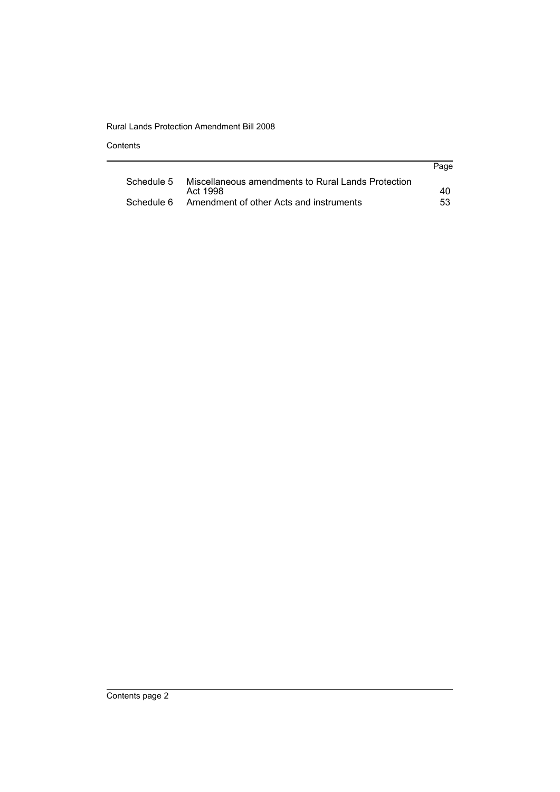**Contents** 

| Page |
|------|
|      |
| 40   |
| 53.  |
|      |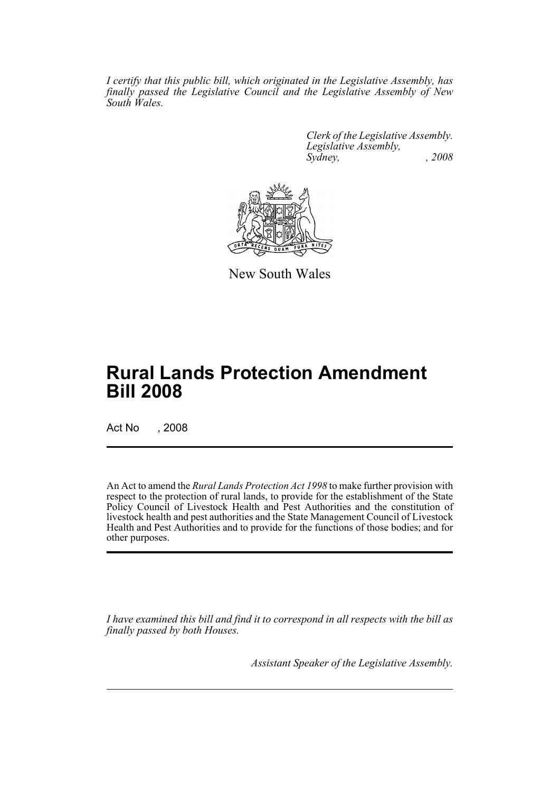*I certify that this public bill, which originated in the Legislative Assembly, has finally passed the Legislative Council and the Legislative Assembly of New South Wales.*

> *Clerk of the Legislative Assembly. Legislative Assembly, Sydney, , 2008*



New South Wales

# **Rural Lands Protection Amendment Bill 2008**

Act No , 2008

An Act to amend the *Rural Lands Protection Act 1998* to make further provision with respect to the protection of rural lands, to provide for the establishment of the State Policy Council of Livestock Health and Pest Authorities and the constitution of livestock health and pest authorities and the State Management Council of Livestock Health and Pest Authorities and to provide for the functions of those bodies; and for other purposes.

*I have examined this bill and find it to correspond in all respects with the bill as finally passed by both Houses.*

*Assistant Speaker of the Legislative Assembly.*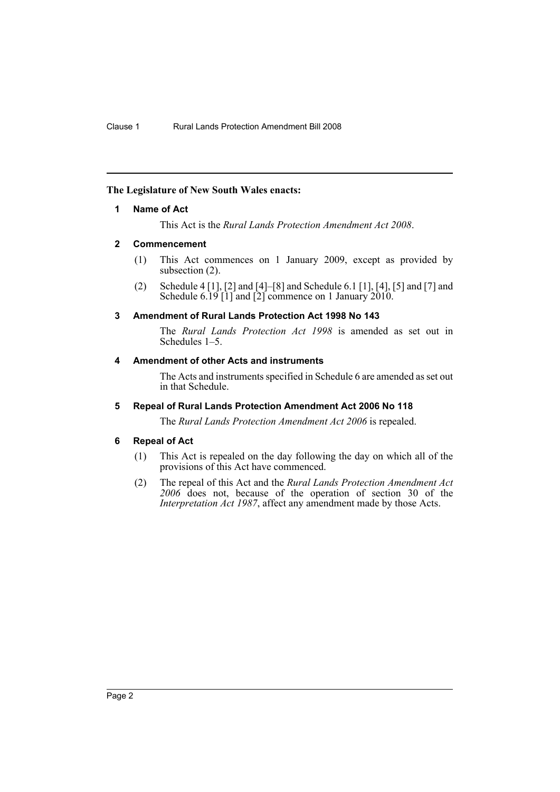### <span id="page-3-0"></span>**The Legislature of New South Wales enacts:**

### **1 Name of Act**

This Act is the *Rural Lands Protection Amendment Act 2008*.

### <span id="page-3-1"></span>**2 Commencement**

- (1) This Act commences on 1 January 2009, except as provided by subsection (2).
- (2) Schedule 4 [1], [2] and [4]–[8] and Schedule 6.1 [1], [4], [5] and [7] and Schedule 6.19 [1] and [2] commence on 1 January 2010.

### <span id="page-3-2"></span>**3 Amendment of Rural Lands Protection Act 1998 No 143**

The *Rural Lands Protection Act 1998* is amended as set out in Schedules 1–5.

### <span id="page-3-3"></span>**4 Amendment of other Acts and instruments**

The Acts and instruments specified in Schedule 6 are amended as set out in that Schedule.

### <span id="page-3-4"></span>**5 Repeal of Rural Lands Protection Amendment Act 2006 No 118**

The *Rural Lands Protection Amendment Act 2006* is repealed.

#### <span id="page-3-5"></span>**6 Repeal of Act**

- (1) This Act is repealed on the day following the day on which all of the provisions of this Act have commenced.
- (2) The repeal of this Act and the *Rural Lands Protection Amendment Act 2006* does not, because of the operation of section 30 of the *Interpretation Act 1987*, affect any amendment made by those Acts.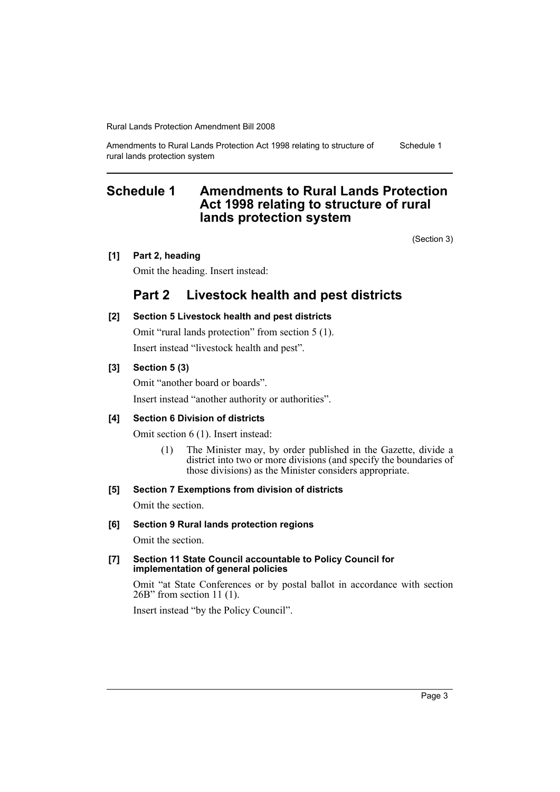Amendments to Rural Lands Protection Act 1998 relating to structure of rural lands protection system Schedule 1

## <span id="page-4-0"></span>**Schedule 1 Amendments to Rural Lands Protection Act 1998 relating to structure of rural lands protection system**

(Section 3)

### **[1] Part 2, heading**

Omit the heading. Insert instead:

## **Part 2 Livestock health and pest districts**

**[2] Section 5 Livestock health and pest districts** Omit "rural lands protection" from section 5 (1).

Insert instead "livestock health and pest".

### **[3] Section 5 (3)**

Omit "another board or boards". Insert instead "another authority or authorities".

### **[4] Section 6 Division of districts**

Omit section 6 (1). Insert instead:

(1) The Minister may, by order published in the Gazette, divide a district into two or more divisions (and specify the boundaries of those divisions) as the Minister considers appropriate.

### **[5] Section 7 Exemptions from division of districts**

Omit the section.

### **[6] Section 9 Rural lands protection regions**

Omit the section.

#### **[7] Section 11 State Council accountable to Policy Council for implementation of general policies**

Omit "at State Conferences or by postal ballot in accordance with section 26B" from section 11 (1).

Insert instead "by the Policy Council".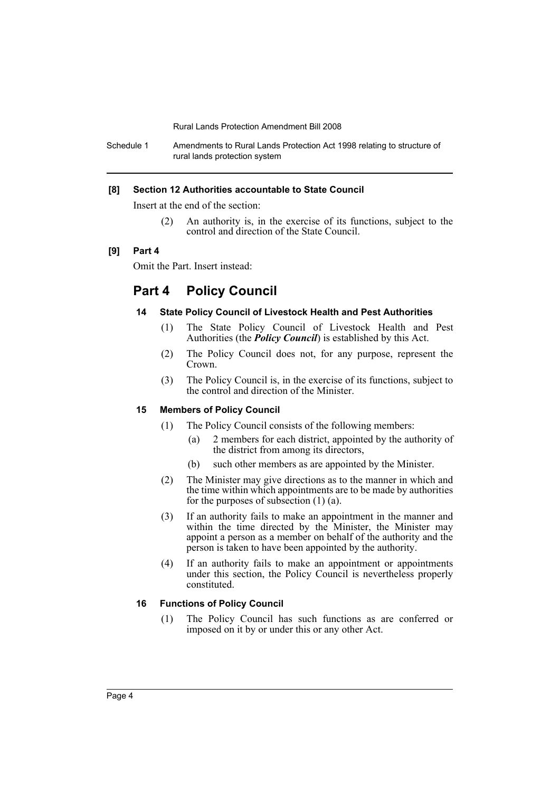Schedule 1 Amendments to Rural Lands Protection Act 1998 relating to structure of rural lands protection system

#### **[8] Section 12 Authorities accountable to State Council**

Insert at the end of the section:

(2) An authority is, in the exercise of its functions, subject to the control and direction of the State Council.

### **[9] Part 4**

Omit the Part. Insert instead:

## **Part 4 Policy Council**

### **14 State Policy Council of Livestock Health and Pest Authorities**

- (1) The State Policy Council of Livestock Health and Pest Authorities (the *Policy Council*) is established by this Act.
- (2) The Policy Council does not, for any purpose, represent the Crown.
- (3) The Policy Council is, in the exercise of its functions, subject to the control and direction of the Minister.

### **15 Members of Policy Council**

- (1) The Policy Council consists of the following members:
	- (a) 2 members for each district, appointed by the authority of the district from among its directors,
	- (b) such other members as are appointed by the Minister.
- (2) The Minister may give directions as to the manner in which and the time within which appointments are to be made by authorities for the purposes of subsection (1) (a).
- (3) If an authority fails to make an appointment in the manner and within the time directed by the Minister, the Minister may appoint a person as a member on behalf of the authority and the person is taken to have been appointed by the authority.
- (4) If an authority fails to make an appointment or appointments under this section, the Policy Council is nevertheless properly constituted.

### **16 Functions of Policy Council**

(1) The Policy Council has such functions as are conferred or imposed on it by or under this or any other Act.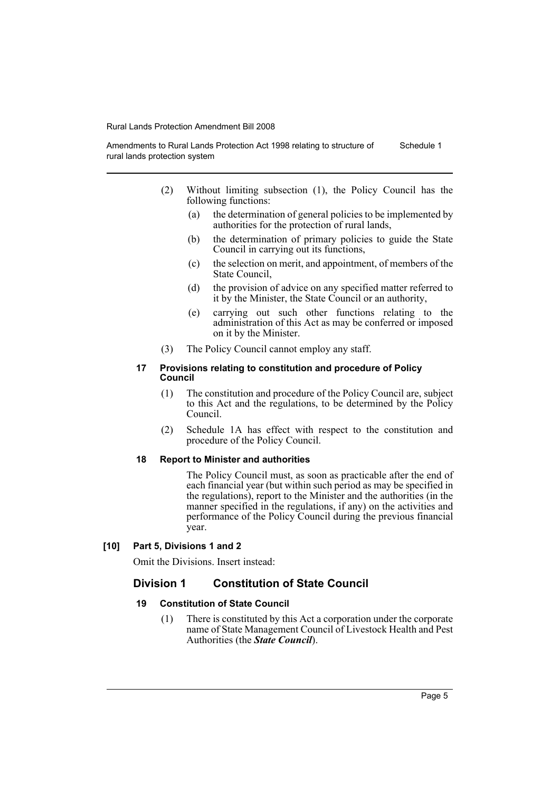Amendments to Rural Lands Protection Act 1998 relating to structure of rural lands protection system Schedule 1

- (2) Without limiting subsection (1), the Policy Council has the following functions:
	- (a) the determination of general policies to be implemented by authorities for the protection of rural lands,
	- (b) the determination of primary policies to guide the State Council in carrying out its functions,
	- (c) the selection on merit, and appointment, of members of the State Council,
	- (d) the provision of advice on any specified matter referred to it by the Minister, the State Council or an authority,
	- (e) carrying out such other functions relating to the administration of this Act as may be conferred or imposed on it by the Minister.
- (3) The Policy Council cannot employ any staff.

#### **17 Provisions relating to constitution and procedure of Policy Council**

- (1) The constitution and procedure of the Policy Council are, subject to this Act and the regulations, to be determined by the Policy Council.
- (2) Schedule 1A has effect with respect to the constitution and procedure of the Policy Council.

### **18 Report to Minister and authorities**

The Policy Council must, as soon as practicable after the end of each financial year (but within such period as may be specified in the regulations), report to the Minister and the authorities (in the manner specified in the regulations, if any) on the activities and performance of the Policy Council during the previous financial year.

### **[10] Part 5, Divisions 1 and 2**

Omit the Divisions. Insert instead:

### **Division 1 Constitution of State Council**

### **19 Constitution of State Council**

(1) There is constituted by this Act a corporation under the corporate name of State Management Council of Livestock Health and Pest Authorities (the *State Council*).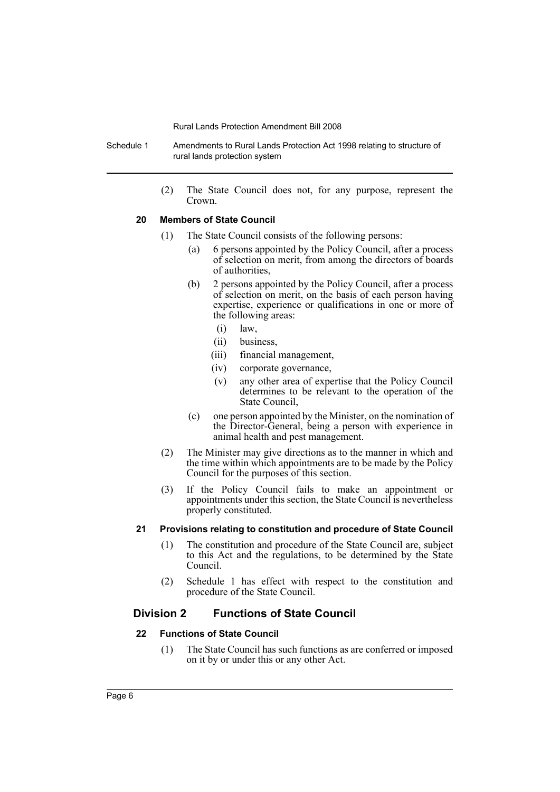Schedule 1 Amendments to Rural Lands Protection Act 1998 relating to structure of rural lands protection system

> (2) The State Council does not, for any purpose, represent the Crown.

#### **20 Members of State Council**

- (1) The State Council consists of the following persons:
	- (a) 6 persons appointed by the Policy Council, after a process of selection on merit, from among the directors of boards of authorities,
	- (b) 2 persons appointed by the Policy Council, after a process of selection on merit, on the basis of each person having expertise, experience or qualifications in one or more of the following areas:
		- (i) law,
		- (ii) business,
		- (iii) financial management,
		- (iv) corporate governance,
		- (v) any other area of expertise that the Policy Council determines to be relevant to the operation of the State Council,
	- (c) one person appointed by the Minister, on the nomination of the Director-General, being a person with experience in animal health and pest management.
- (2) The Minister may give directions as to the manner in which and the time within which appointments are to be made by the Policy Council for the purposes of this section.
- (3) If the Policy Council fails to make an appointment or appointments under this section, the State Council is nevertheless properly constituted.

### **21 Provisions relating to constitution and procedure of State Council**

- (1) The constitution and procedure of the State Council are, subject to this Act and the regulations, to be determined by the State Council.
- (2) Schedule 1 has effect with respect to the constitution and procedure of the State Council.

### **Division 2 Functions of State Council**

#### **22 Functions of State Council**

(1) The State Council has such functions as are conferred or imposed on it by or under this or any other Act.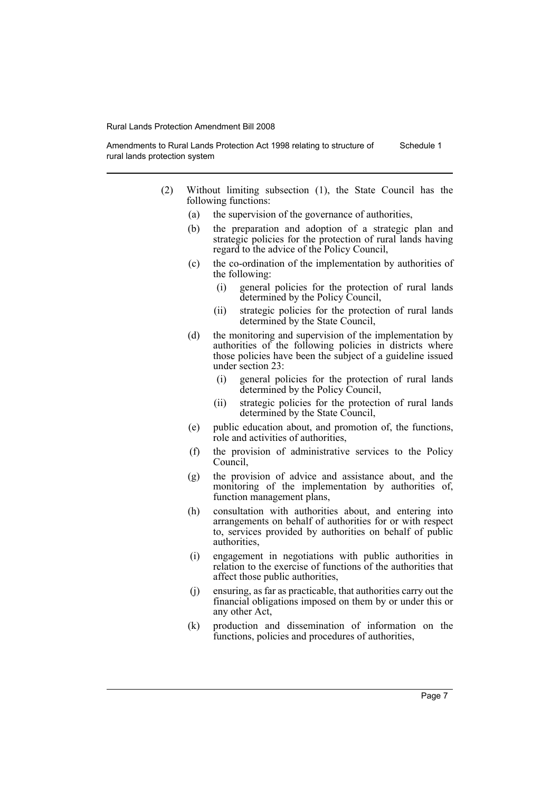Amendments to Rural Lands Protection Act 1998 relating to structure of rural lands protection system Schedule 1

- (2) Without limiting subsection (1), the State Council has the following functions:
	- (a) the supervision of the governance of authorities,
	- (b) the preparation and adoption of a strategic plan and strategic policies for the protection of rural lands having regard to the advice of the Policy Council,
	- (c) the co-ordination of the implementation by authorities of the following:
		- (i) general policies for the protection of rural lands determined by the Policy Council,
		- (ii) strategic policies for the protection of rural lands determined by the State Council,
	- (d) the monitoring and supervision of the implementation by authorities of the following policies in districts where those policies have been the subject of a guideline issued under section 23:
		- (i) general policies for the protection of rural lands determined by the Policy Council,
		- (ii) strategic policies for the protection of rural lands determined by the State Council,
	- (e) public education about, and promotion of, the functions, role and activities of authorities,
	- (f) the provision of administrative services to the Policy Council,
	- (g) the provision of advice and assistance about, and the monitoring of the implementation by authorities of, function management plans,
	- (h) consultation with authorities about, and entering into arrangements on behalf of authorities for or with respect to, services provided by authorities on behalf of public authorities,
	- (i) engagement in negotiations with public authorities in relation to the exercise of functions of the authorities that affect those public authorities,
	- (j) ensuring, as far as practicable, that authorities carry out the financial obligations imposed on them by or under this or any other Act,
	- (k) production and dissemination of information on the functions, policies and procedures of authorities,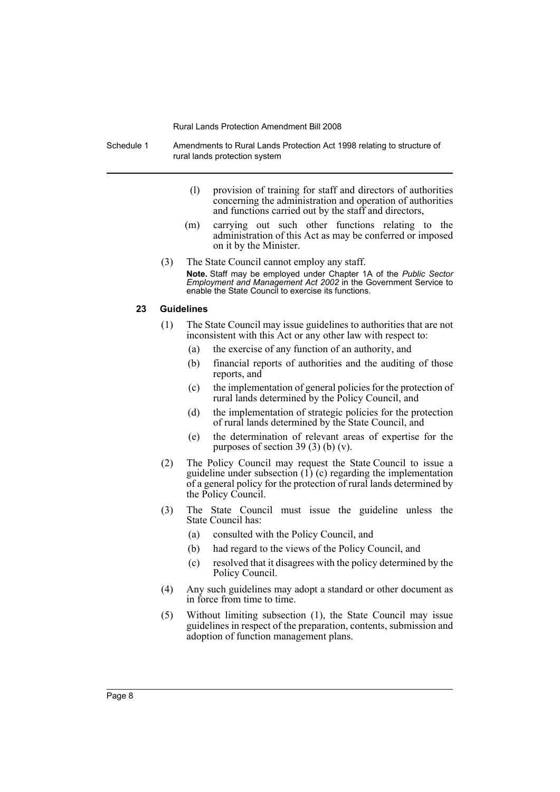Schedule 1 Amendments to Rural Lands Protection Act 1998 relating to structure of rural lands protection system

- (l) provision of training for staff and directors of authorities concerning the administration and operation of authorities and functions carried out by the staff and directors,
- (m) carrying out such other functions relating to the administration of this Act as may be conferred or imposed on it by the Minister.
- (3) The State Council cannot employ any staff. **Note.** Staff may be employed under Chapter 1A of the *Public Sector Employment and Management Act 2002* in the Government Service to enable the State Council to exercise its functions.

#### **23 Guidelines**

- (1) The State Council may issue guidelines to authorities that are not inconsistent with this Act or any other law with respect to:
	- (a) the exercise of any function of an authority, and
	- (b) financial reports of authorities and the auditing of those reports, and
	- (c) the implementation of general policies for the protection of rural lands determined by the Policy Council, and
	- (d) the implementation of strategic policies for the protection of rural lands determined by the State Council, and
	- (e) the determination of relevant areas of expertise for the purposes of section 39 $(3)$  $(b)$  $(v)$ .
- (2) The Policy Council may request the State Council to issue a guideline under subsection  $(1)$  (c) regarding the implementation of a general policy for the protection of rural lands determined by the Policy Council.
- (3) The State Council must issue the guideline unless the State Council has:
	- (a) consulted with the Policy Council, and
	- (b) had regard to the views of the Policy Council, and
	- (c) resolved that it disagrees with the policy determined by the Policy Council.
- (4) Any such guidelines may adopt a standard or other document as in force from time to time.
- (5) Without limiting subsection (1), the State Council may issue guidelines in respect of the preparation, contents, submission and adoption of function management plans.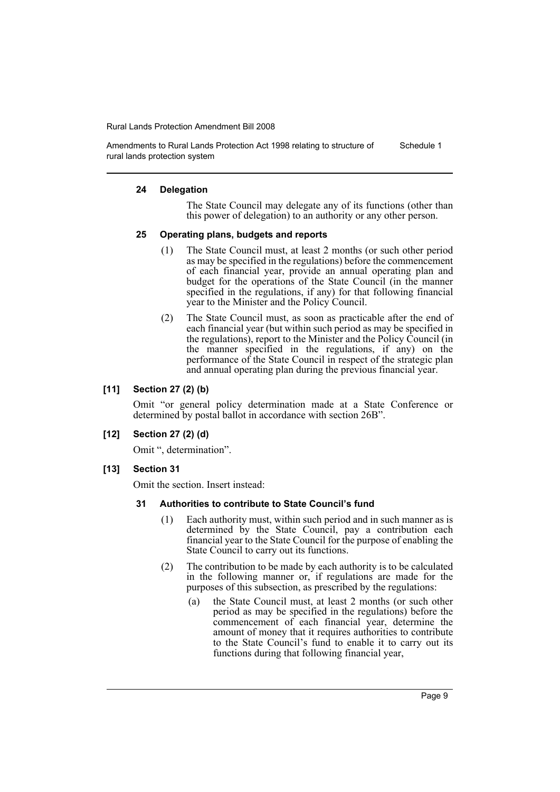Amendments to Rural Lands Protection Act 1998 relating to structure of rural lands protection system Schedule 1

#### **24 Delegation**

The State Council may delegate any of its functions (other than this power of delegation) to an authority or any other person.

### **25 Operating plans, budgets and reports**

- (1) The State Council must, at least 2 months (or such other period as may be specified in the regulations) before the commencement of each financial year, provide an annual operating plan and budget for the operations of the State Council (in the manner specified in the regulations, if any) for that following financial year to the Minister and the Policy Council.
- (2) The State Council must, as soon as practicable after the end of each financial year (but within such period as may be specified in the regulations), report to the Minister and the Policy Council (in the manner specified in the regulations, if any) on the performance of the State Council in respect of the strategic plan and annual operating plan during the previous financial year.

### **[11] Section 27 (2) (b)**

Omit "or general policy determination made at a State Conference or determined by postal ballot in accordance with section 26B".

### **[12] Section 27 (2) (d)**

Omit ", determination".

**[13] Section 31**

Omit the section. Insert instead:

#### **31 Authorities to contribute to State Council's fund**

- (1) Each authority must, within such period and in such manner as is determined by the State Council, pay a contribution each financial year to the State Council for the purpose of enabling the State Council to carry out its functions.
- (2) The contribution to be made by each authority is to be calculated in the following manner or, if regulations are made for the purposes of this subsection, as prescribed by the regulations:
	- (a) the State Council must, at least 2 months (or such other period as may be specified in the regulations) before the commencement of each financial year, determine the amount of money that it requires authorities to contribute to the State Council's fund to enable it to carry out its functions during that following financial year,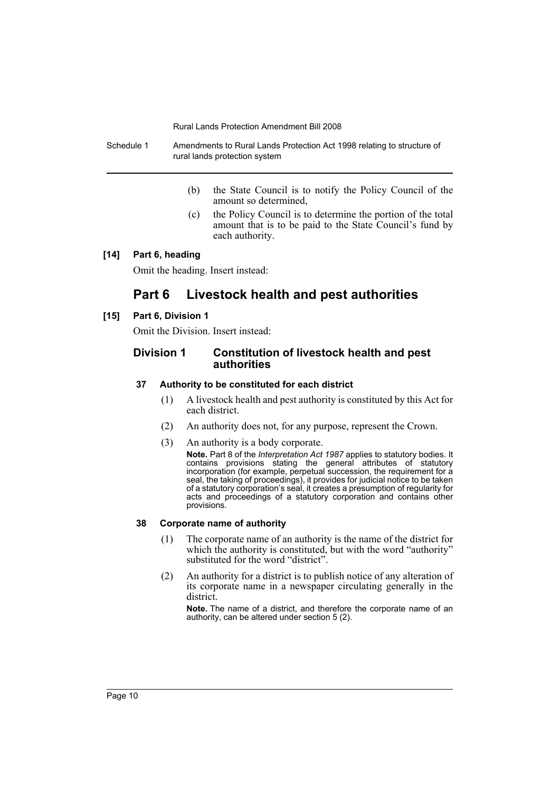Schedule 1 Amendments to Rural Lands Protection Act 1998 relating to structure of rural lands protection system

- (b) the State Council is to notify the Policy Council of the amount so determined,
- (c) the Policy Council is to determine the portion of the total amount that is to be paid to the State Council's fund by each authority.

### **[14] Part 6, heading**

Omit the heading. Insert instead:

## **Part 6 Livestock health and pest authorities**

### **[15] Part 6, Division 1**

Omit the Division. Insert instead:

### **Division 1 Constitution of livestock health and pest authorities**

### **37 Authority to be constituted for each district**

- (1) A livestock health and pest authority is constituted by this Act for each district.
- (2) An authority does not, for any purpose, represent the Crown.
- (3) An authority is a body corporate.

**Note.** Part 8 of the *Interpretation Act 1987* applies to statutory bodies. It contains provisions stating the general attributes of statutory incorporation (for example, perpetual succession, the requirement for a seal, the taking of proceedings), it provides for judicial notice to be taken of a statutory corporation's seal, it creates a presumption of regularity for acts and proceedings of a statutory corporation and contains other provisions.

#### **38 Corporate name of authority**

- (1) The corporate name of an authority is the name of the district for which the authority is constituted, but with the word "authority" substituted for the word "district".
- (2) An authority for a district is to publish notice of any alteration of its corporate name in a newspaper circulating generally in the district.

**Note.** The name of a district, and therefore the corporate name of an authority, can be altered under section 5 (2).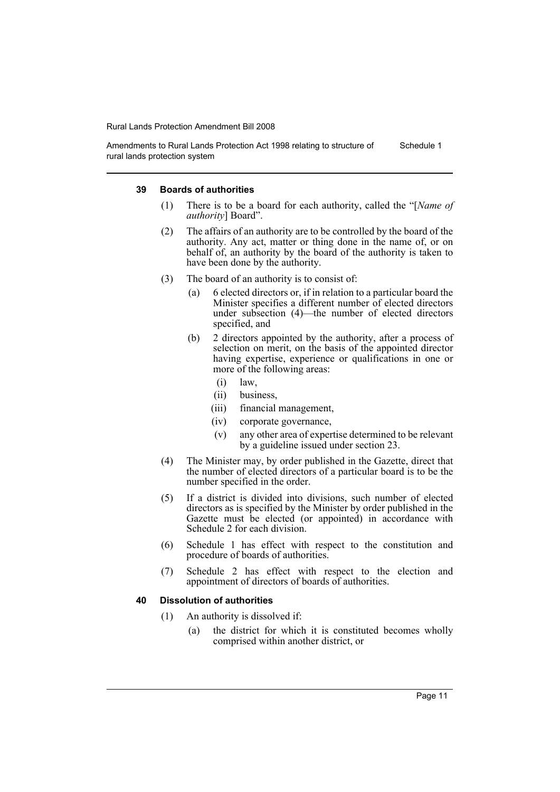Amendments to Rural Lands Protection Act 1998 relating to structure of rural lands protection system Schedule 1

#### **39 Boards of authorities**

- (1) There is to be a board for each authority, called the "[*Name of authority*] Board".
- (2) The affairs of an authority are to be controlled by the board of the authority. Any act, matter or thing done in the name of, or on behalf of, an authority by the board of the authority is taken to have been done by the authority.
- (3) The board of an authority is to consist of:
	- (a) 6 elected directors or, if in relation to a particular board the Minister specifies a different number of elected directors under subsection (4)—the number of elected directors specified, and
	- (b) 2 directors appointed by the authority, after a process of selection on merit, on the basis of the appointed director having expertise, experience or qualifications in one or more of the following areas:
		- (i) law,
		- (ii) business,
		- (iii) financial management,
		- (iv) corporate governance,
		- (v) any other area of expertise determined to be relevant by a guideline issued under section 23.
- (4) The Minister may, by order published in the Gazette, direct that the number of elected directors of a particular board is to be the number specified in the order.
- (5) If a district is divided into divisions, such number of elected directors as is specified by the Minister by order published in the Gazette must be elected (or appointed) in accordance with Schedule 2 for each division.
- (6) Schedule 1 has effect with respect to the constitution and procedure of boards of authorities.
- (7) Schedule 2 has effect with respect to the election and appointment of directors of boards of authorities.

#### **40 Dissolution of authorities**

- (1) An authority is dissolved if:
	- (a) the district for which it is constituted becomes wholly comprised within another district, or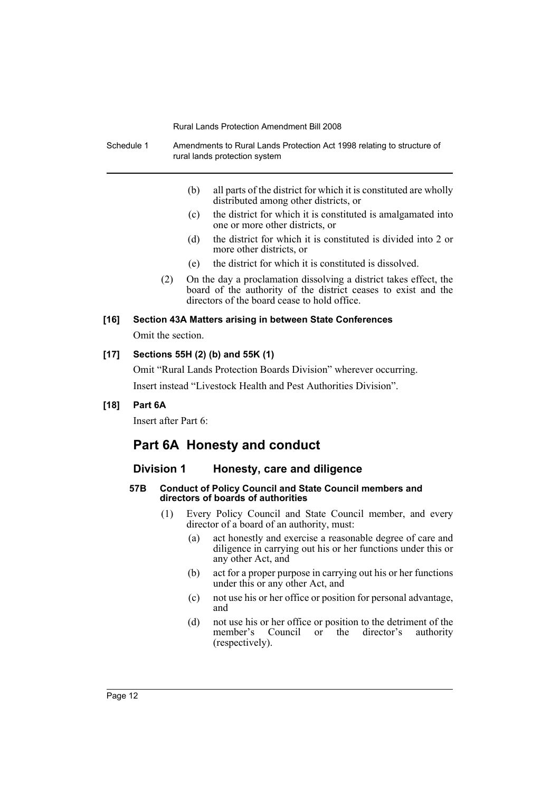| Schedule 1 |                                                                   |                                                                                                                                                                                            | Amendments to Rural Lands Protection Act 1998 relating to structure of<br>rural lands protection system   |  |  |
|------------|-------------------------------------------------------------------|--------------------------------------------------------------------------------------------------------------------------------------------------------------------------------------------|-----------------------------------------------------------------------------------------------------------|--|--|
|            |                                                                   | (b)                                                                                                                                                                                        | all parts of the district for which it is constituted are wholly<br>distributed among other districts, or |  |  |
|            |                                                                   | (c)                                                                                                                                                                                        | the district for which it is constituted is amalgamated into<br>one or more other districts, or           |  |  |
|            |                                                                   | (d)                                                                                                                                                                                        | the district for which it is constituted is divided into 2 or<br>more other districts, or                 |  |  |
|            |                                                                   | (e)                                                                                                                                                                                        | the district for which it is constituted is dissolved.                                                    |  |  |
|            |                                                                   | On the day a proclamation dissolving a district takes effect, the<br>(2)<br>board of the authority of the district ceases to exist and the<br>directors of the board cease to hold office. |                                                                                                           |  |  |
| $[16]$     | Section 43A Matters arising in between State Conferences          |                                                                                                                                                                                            |                                                                                                           |  |  |
|            | Omit the section.                                                 |                                                                                                                                                                                            |                                                                                                           |  |  |
| $[17]$     | Sections 55H (2) (b) and 55K (1)                                  |                                                                                                                                                                                            |                                                                                                           |  |  |
|            | Omit "Rural Lands Protection Boards Division" wherever occurring. |                                                                                                                                                                                            |                                                                                                           |  |  |
|            | Insert instead "Livestock Health and Pest Authorities Division".  |                                                                                                                                                                                            |                                                                                                           |  |  |
| $[18]$     | Part 6A                                                           |                                                                                                                                                                                            |                                                                                                           |  |  |

Insert after Part 6:

## **Part 6A Honesty and conduct**

## **Division 1 Honesty, care and diligence**

### **57B Conduct of Policy Council and State Council members and directors of boards of authorities**

- (1) Every Policy Council and State Council member, and every director of a board of an authority, must:
	- (a) act honestly and exercise a reasonable degree of care and diligence in carrying out his or her functions under this or any other Act, and
	- (b) act for a proper purpose in carrying out his or her functions under this or any other Act, and
	- (c) not use his or her office or position for personal advantage, and
	- (d) not use his or her office or position to the detriment of the member's Council or the director's authority member's Council or the director's (respectively).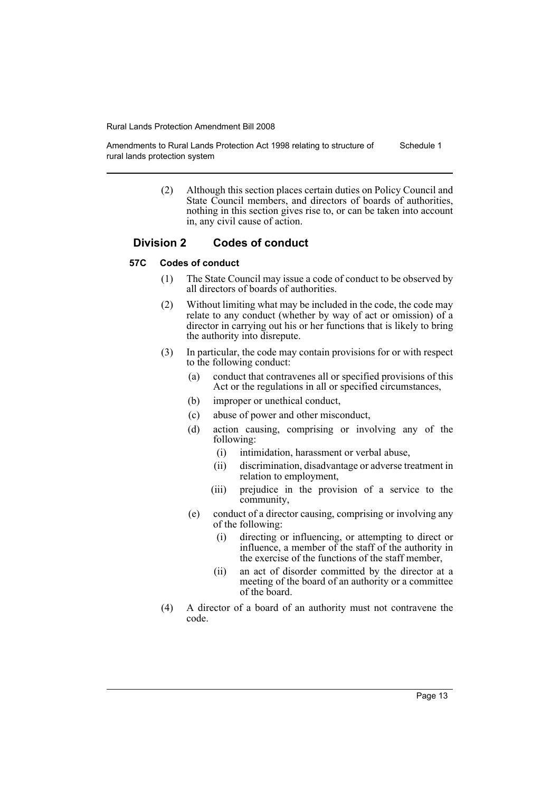Amendments to Rural Lands Protection Act 1998 relating to structure of rural lands protection system Schedule 1

> (2) Although this section places certain duties on Policy Council and State Council members, and directors of boards of authorities, nothing in this section gives rise to, or can be taken into account in, any civil cause of action.

### **Division 2 Codes of conduct**

### **57C Codes of conduct**

- (1) The State Council may issue a code of conduct to be observed by all directors of boards of authorities.
- (2) Without limiting what may be included in the code, the code may relate to any conduct (whether by way of act or omission) of a director in carrying out his or her functions that is likely to bring the authority into disrepute.
- (3) In particular, the code may contain provisions for or with respect to the following conduct:
	- (a) conduct that contravenes all or specified provisions of this Act or the regulations in all or specified circumstances,
	- (b) improper or unethical conduct,
	- (c) abuse of power and other misconduct,
	- (d) action causing, comprising or involving any of the following:
		- (i) intimidation, harassment or verbal abuse,
		- (ii) discrimination, disadvantage or adverse treatment in relation to employment,
		- (iii) prejudice in the provision of a service to the community,
	- (e) conduct of a director causing, comprising or involving any of the following:
		- (i) directing or influencing, or attempting to direct or influence, a member of the staff of the authority in the exercise of the functions of the staff member,
		- (ii) an act of disorder committed by the director at a meeting of the board of an authority or a committee of the board.
- (4) A director of a board of an authority must not contravene the code.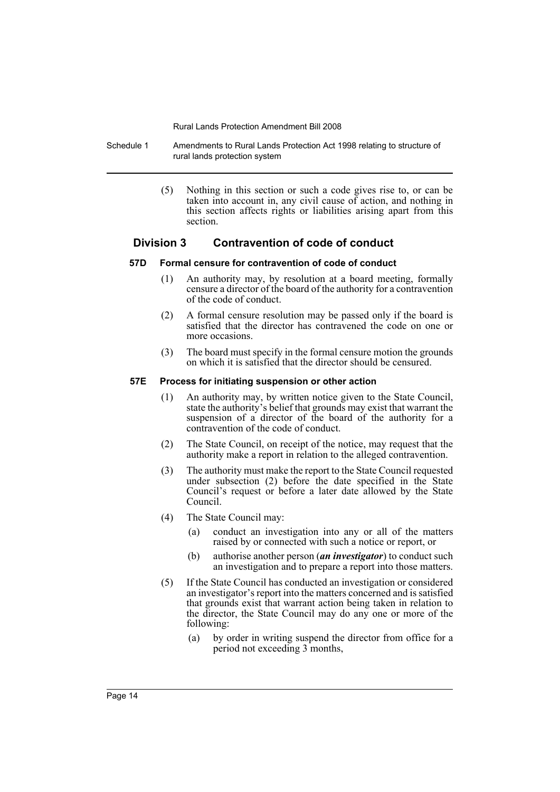Schedule 1 Amendments to Rural Lands Protection Act 1998 relating to structure of rural lands protection system

> (5) Nothing in this section or such a code gives rise to, or can be taken into account in, any civil cause of action, and nothing in this section affects rights or liabilities arising apart from this section.

### **Division 3 Contravention of code of conduct**

#### **57D Formal censure for contravention of code of conduct**

- (1) An authority may, by resolution at a board meeting, formally censure a director of the board of the authority for a contravention of the code of conduct.
- (2) A formal censure resolution may be passed only if the board is satisfied that the director has contravened the code on one or more occasions.
- (3) The board must specify in the formal censure motion the grounds on which it is satisfied that the director should be censured.

#### **57E Process for initiating suspension or other action**

- (1) An authority may, by written notice given to the State Council, state the authority's belief that grounds may exist that warrant the suspension of a director of the board of the authority for a contravention of the code of conduct.
- (2) The State Council, on receipt of the notice, may request that the authority make a report in relation to the alleged contravention.
- (3) The authority must make the report to the State Council requested under subsection (2) before the date specified in the State Council's request or before a later date allowed by the State Council.
- (4) The State Council may:
	- (a) conduct an investigation into any or all of the matters raised by or connected with such a notice or report, or
	- (b) authorise another person (*an investigator*) to conduct such an investigation and to prepare a report into those matters.
- (5) If the State Council has conducted an investigation or considered an investigator's report into the matters concerned and is satisfied that grounds exist that warrant action being taken in relation to the director, the State Council may do any one or more of the following:
	- (a) by order in writing suspend the director from office for a period not exceeding 3 months,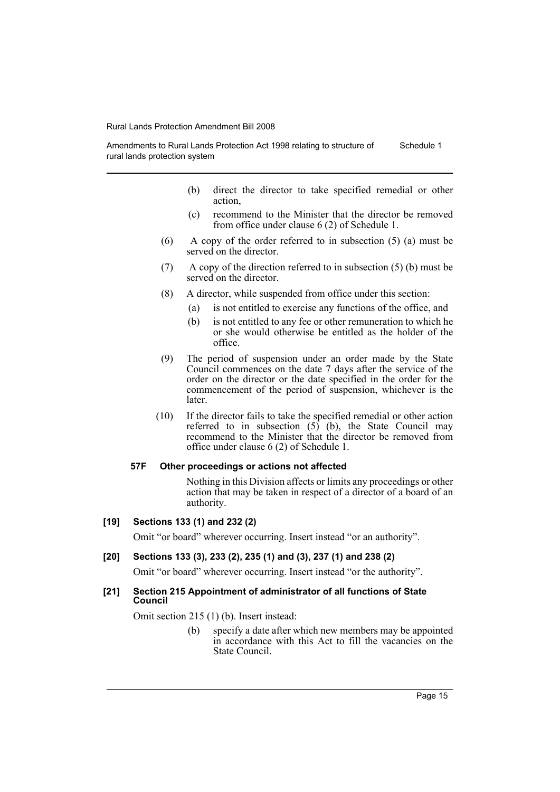Amendments to Rural Lands Protection Act 1998 relating to structure of rural lands protection system Schedule 1

- (b) direct the director to take specified remedial or other action,
- (c) recommend to the Minister that the director be removed from office under clause 6 (2) of Schedule 1.
- (6) A copy of the order referred to in subsection (5) (a) must be served on the director.
- (7) A copy of the direction referred to in subsection (5) (b) must be served on the director.
- (8) A director, while suspended from office under this section:
	- (a) is not entitled to exercise any functions of the office, and
	- (b) is not entitled to any fee or other remuneration to which he or she would otherwise be entitled as the holder of the office.
- (9) The period of suspension under an order made by the State Council commences on the date 7 days after the service of the order on the director or the date specified in the order for the commencement of the period of suspension, whichever is the later.
- (10) If the director fails to take the specified remedial or other action referred to in subsection  $(5)$  (b), the State Council may recommend to the Minister that the director be removed from office under clause 6 (2) of Schedule 1.

#### **57F Other proceedings or actions not affected**

Nothing in this Division affects or limits any proceedings or other action that may be taken in respect of a director of a board of an authority.

### **[19] Sections 133 (1) and 232 (2)**

Omit "or board" wherever occurring. Insert instead "or an authority".

#### **[20] Sections 133 (3), 233 (2), 235 (1) and (3), 237 (1) and 238 (2)**

Omit "or board" wherever occurring. Insert instead "or the authority".

#### **[21] Section 215 Appointment of administrator of all functions of State Council**

Omit section 215 (1) (b). Insert instead:

(b) specify a date after which new members may be appointed in accordance with this Act to fill the vacancies on the State Council.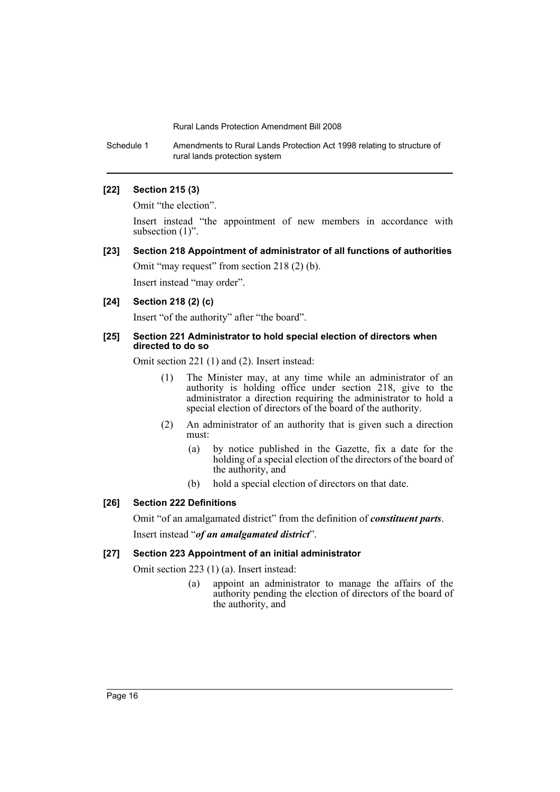Schedule 1 Amendments to Rural Lands Protection Act 1998 relating to structure of rural lands protection system

#### **[22] Section 215 (3)**

Omit "the election".

Insert instead "the appointment of new members in accordance with subsection  $(1)$ ".

### **[23] Section 218 Appointment of administrator of all functions of authorities**

Omit "may request" from section 218 (2) (b).

Insert instead "may order".

### **[24] Section 218 (2) (c)**

Insert "of the authority" after "the board".

#### **[25] Section 221 Administrator to hold special election of directors when directed to do so**

Omit section 221 (1) and (2). Insert instead:

- (1) The Minister may, at any time while an administrator of an authority is holding office under section 218, give to the administrator a direction requiring the administrator to hold a special election of directors of the board of the authority.
- (2) An administrator of an authority that is given such a direction must:
	- (a) by notice published in the Gazette, fix a date for the holding of a special election of the directors of the board of the authority, and
	- (b) hold a special election of directors on that date.

### **[26] Section 222 Definitions**

Omit "of an amalgamated district" from the definition of *constituent parts*.

Insert instead "*of an amalgamated district*".

### **[27] Section 223 Appointment of an initial administrator**

Omit section 223 (1) (a). Insert instead:

(a) appoint an administrator to manage the affairs of the authority pending the election of directors of the board of the authority, and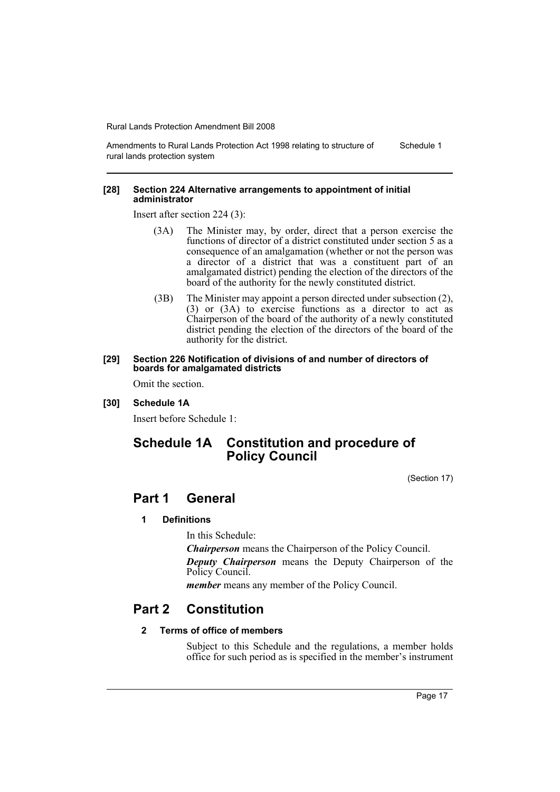Amendments to Rural Lands Protection Act 1998 relating to structure of rural lands protection system Schedule 1

#### **[28] Section 224 Alternative arrangements to appointment of initial administrator**

Insert after section 224 (3):

- (3A) The Minister may, by order, direct that a person exercise the functions of director of a district constituted under section 5 as a consequence of an amalgamation (whether or not the person was a director of a district that was a constituent part of an amalgamated district) pending the election of the directors of the board of the authority for the newly constituted district.
- (3B) The Minister may appoint a person directed under subsection (2), (3) or (3A) to exercise functions as a director to act as Chairperson of the board of the authority of a newly constituted district pending the election of the directors of the board of the authority for the district.

#### **[29] Section 226 Notification of divisions of and number of directors of boards for amalgamated districts**

Omit the section.

**[30] Schedule 1A**

Insert before Schedule 1:

## **Schedule 1A Constitution and procedure of Policy Council**

(Section 17)

## **Part 1 General**

#### **1 Definitions**

In this Schedule:

*Chairperson* means the Chairperson of the Policy Council.

*Deputy Chairperson* means the Deputy Chairperson of the Policy Council.

*member* means any member of the Policy Council.

## **Part 2 Constitution**

### **2 Terms of office of members**

Subject to this Schedule and the regulations, a member holds office for such period as is specified in the member's instrument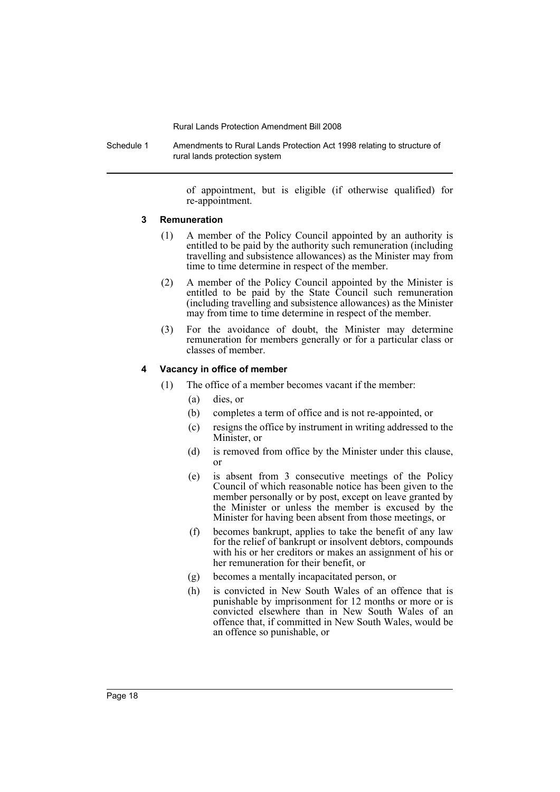Schedule 1 Amendments to Rural Lands Protection Act 1998 relating to structure of rural lands protection system

> of appointment, but is eligible (if otherwise qualified) for re-appointment.

#### **3 Remuneration**

- (1) A member of the Policy Council appointed by an authority is entitled to be paid by the authority such remuneration (including travelling and subsistence allowances) as the Minister may from time to time determine in respect of the member.
- (2) A member of the Policy Council appointed by the Minister is entitled to be paid by the State Council such remuneration (including travelling and subsistence allowances) as the Minister may from time to time determine in respect of the member.
- (3) For the avoidance of doubt, the Minister may determine remuneration for members generally or for a particular class or classes of member.

#### **4 Vacancy in office of member**

- (1) The office of a member becomes vacant if the member:
	- (a) dies, or
	- (b) completes a term of office and is not re-appointed, or
	- (c) resigns the office by instrument in writing addressed to the Minister, or
	- (d) is removed from office by the Minister under this clause, or
	- (e) is absent from 3 consecutive meetings of the Policy Council of which reasonable notice has been given to the member personally or by post, except on leave granted by the Minister or unless the member is excused by the Minister for having been absent from those meetings, or
	- (f) becomes bankrupt, applies to take the benefit of any law for the relief of bankrupt or insolvent debtors, compounds with his or her creditors or makes an assignment of his or her remuneration for their benefit, or
	- (g) becomes a mentally incapacitated person, or
	- (h) is convicted in New South Wales of an offence that is punishable by imprisonment for 12 months or more or is convicted elsewhere than in New South Wales of an offence that, if committed in New South Wales, would be an offence so punishable, or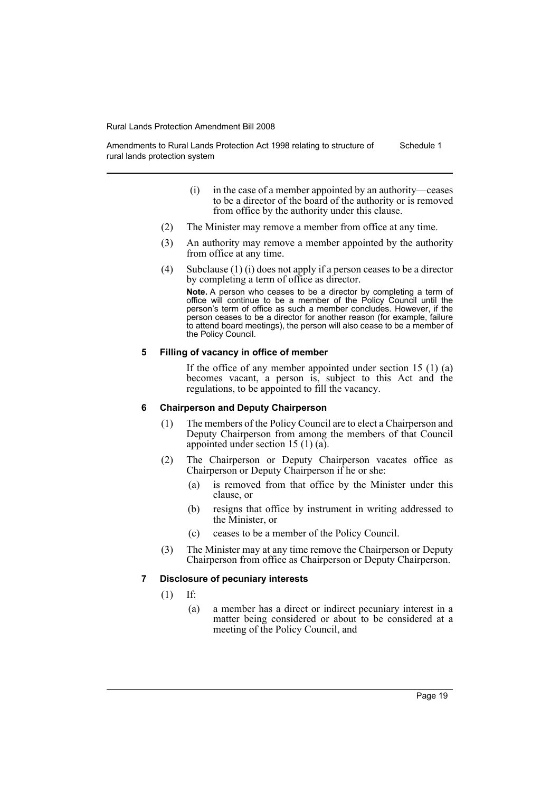Amendments to Rural Lands Protection Act 1998 relating to structure of rural lands protection system Schedule 1

- (i) in the case of a member appointed by an authority—ceases to be a director of the board of the authority or is removed from office by the authority under this clause.
- (2) The Minister may remove a member from office at any time.
- (3) An authority may remove a member appointed by the authority from office at any time.
- (4) Subclause (1) (i) does not apply if a person ceases to be a director by completing a term of office as director.

**Note.** A person who ceases to be a director by completing a term of office will continue to be a member of the Policy Council until the person's term of office as such a member concludes. However, if the person ceases to be a director for another reason (for example, failure to attend board meetings), the person will also cease to be a member of the Policy Council.

### **5 Filling of vacancy in office of member**

If the office of any member appointed under section 15 (1) (a) becomes vacant, a person is, subject to this Act and the regulations, to be appointed to fill the vacancy.

### **6 Chairperson and Deputy Chairperson**

- (1) The members of the Policy Council are to elect a Chairperson and Deputy Chairperson from among the members of that Council appointed under section 15 (1) (a).
- (2) The Chairperson or Deputy Chairperson vacates office as Chairperson or Deputy Chairperson if he or she:
	- (a) is removed from that office by the Minister under this clause, or
	- (b) resigns that office by instrument in writing addressed to the Minister, or
	- (c) ceases to be a member of the Policy Council.
- (3) The Minister may at any time remove the Chairperson or Deputy Chairperson from office as Chairperson or Deputy Chairperson.

### **7 Disclosure of pecuniary interests**

- (1) If:
	- (a) a member has a direct or indirect pecuniary interest in a matter being considered or about to be considered at a meeting of the Policy Council, and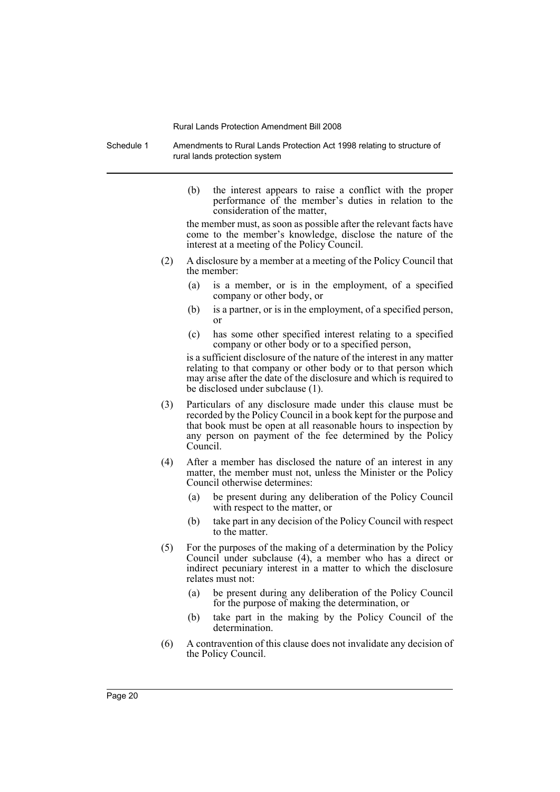Schedule 1 Amendments to Rural Lands Protection Act 1998 relating to structure of rural lands protection system

> (b) the interest appears to raise a conflict with the proper performance of the member's duties in relation to the consideration of the matter,

> the member must, as soon as possible after the relevant facts have come to the member's knowledge, disclose the nature of the interest at a meeting of the Policy Council.

- (2) A disclosure by a member at a meeting of the Policy Council that the member:
	- (a) is a member, or is in the employment, of a specified company or other body, or
	- (b) is a partner, or is in the employment, of a specified person, or
	- (c) has some other specified interest relating to a specified company or other body or to a specified person,

is a sufficient disclosure of the nature of the interest in any matter relating to that company or other body or to that person which may arise after the date of the disclosure and which is required to be disclosed under subclause (1).

- (3) Particulars of any disclosure made under this clause must be recorded by the Policy Council in a book kept for the purpose and that book must be open at all reasonable hours to inspection by any person on payment of the fee determined by the Policy Council.
- (4) After a member has disclosed the nature of an interest in any matter, the member must not, unless the Minister or the Policy Council otherwise determines:
	- (a) be present during any deliberation of the Policy Council with respect to the matter, or
	- (b) take part in any decision of the Policy Council with respect to the matter.
- (5) For the purposes of the making of a determination by the Policy Council under subclause (4), a member who has a direct or indirect pecuniary interest in a matter to which the disclosure relates must not:
	- (a) be present during any deliberation of the Policy Council for the purpose of making the determination, or
	- (b) take part in the making by the Policy Council of the determination.
- (6) A contravention of this clause does not invalidate any decision of the Policy Council.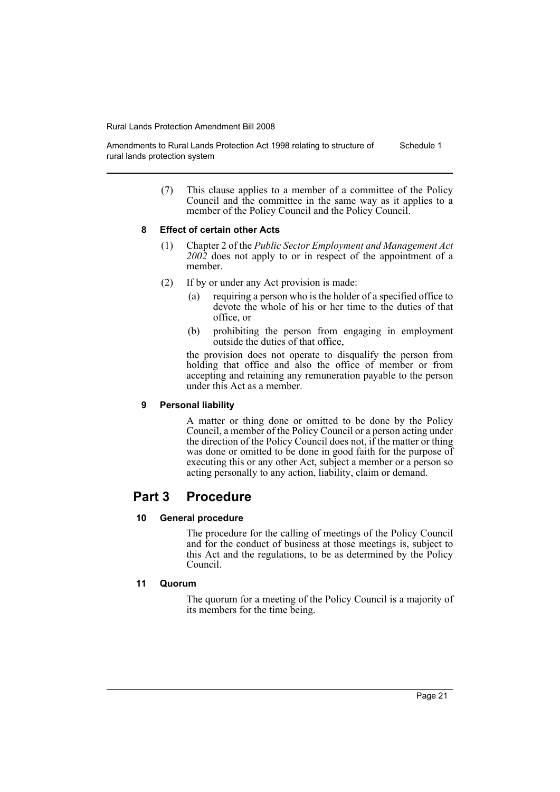Amendments to Rural Lands Protection Act 1998 relating to structure of rural lands protection system Schedule 1

> (7) This clause applies to a member of a committee of the Policy Council and the committee in the same way as it applies to a member of the Policy Council and the Policy Council.

### **8 Effect of certain other Acts**

- (1) Chapter 2 of the *Public Sector Employment and Management Act 2002* does not apply to or in respect of the appointment of a member.
- (2) If by or under any Act provision is made:
	- (a) requiring a person who is the holder of a specified office to devote the whole of his or her time to the duties of that office, or
	- (b) prohibiting the person from engaging in employment outside the duties of that office,

the provision does not operate to disqualify the person from holding that office and also the office of member or from accepting and retaining any remuneration payable to the person under this Act as a member.

### **9 Personal liability**

A matter or thing done or omitted to be done by the Policy Council, a member of the Policy Council or a person acting under the direction of the Policy Council does not, if the matter or thing was done or omitted to be done in good faith for the purpose of executing this or any other Act, subject a member or a person so acting personally to any action, liability, claim or demand.

## **Part 3 Procedure**

### **10 General procedure**

The procedure for the calling of meetings of the Policy Council and for the conduct of business at those meetings is, subject to this Act and the regulations, to be as determined by the Policy Council.

#### **11 Quorum**

The quorum for a meeting of the Policy Council is a majority of its members for the time being.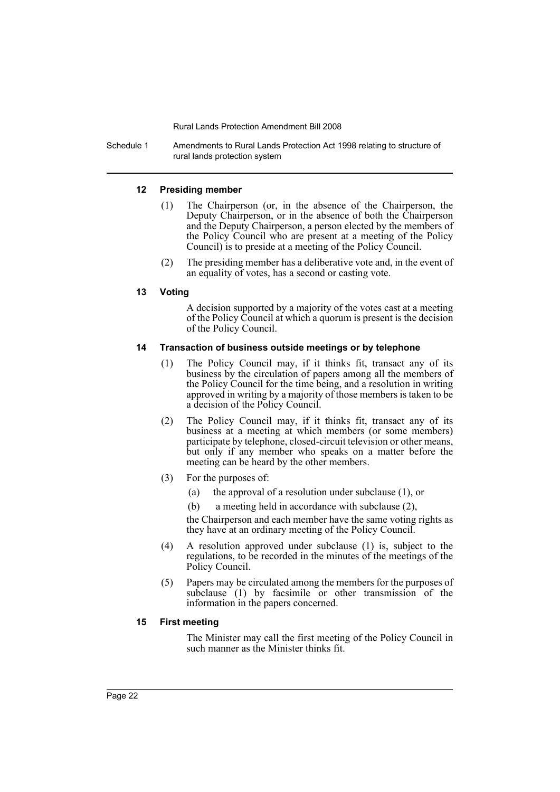Schedule 1 Amendments to Rural Lands Protection Act 1998 relating to structure of rural lands protection system

### **12 Presiding member**

- (1) The Chairperson (or, in the absence of the Chairperson, the Deputy Chairperson, or in the absence of both the Chairperson and the Deputy Chairperson, a person elected by the members of the Policy Council who are present at a meeting of the Policy Council) is to preside at a meeting of the Policy Council.
- (2) The presiding member has a deliberative vote and, in the event of an equality of votes, has a second or casting vote.

### **13 Voting**

A decision supported by a majority of the votes cast at a meeting of the Policy Council at which a quorum is present is the decision of the Policy Council.

### **14 Transaction of business outside meetings or by telephone**

- (1) The Policy Council may, if it thinks fit, transact any of its business by the circulation of papers among all the members of the Policy Council for the time being, and a resolution in writing approved in writing by a majority of those members is taken to be a decision of the Policy Council.
- (2) The Policy Council may, if it thinks fit, transact any of its business at a meeting at which members (or some members) participate by telephone, closed-circuit television or other means, but only if any member who speaks on a matter before the meeting can be heard by the other members.
- (3) For the purposes of:
	- (a) the approval of a resolution under subclause (1), or
	- (b) a meeting held in accordance with subclause (2),

the Chairperson and each member have the same voting rights as they have at an ordinary meeting of the Policy Council.

- (4) A resolution approved under subclause (1) is, subject to the regulations, to be recorded in the minutes of the meetings of the Policy Council.
- (5) Papers may be circulated among the members for the purposes of subclause (1) by facsimile or other transmission of the information in the papers concerned.

### **15 First meeting**

The Minister may call the first meeting of the Policy Council in such manner as the Minister thinks fit.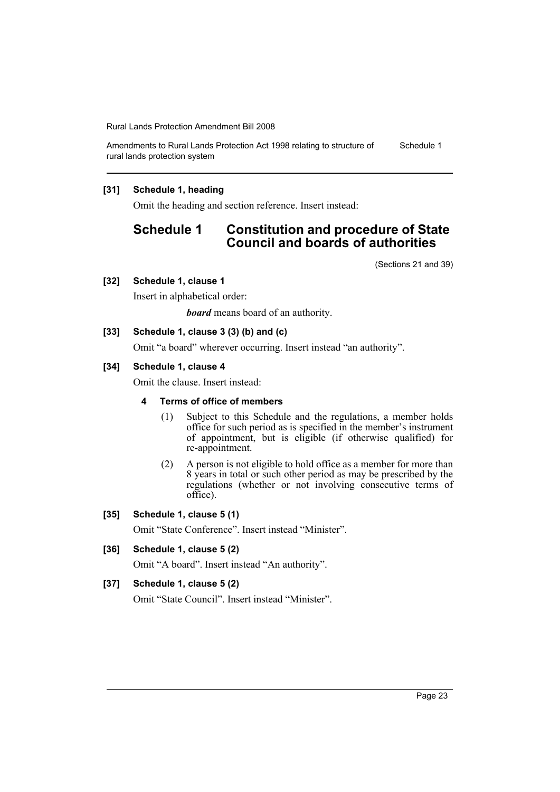Amendments to Rural Lands Protection Act 1998 relating to structure of rural lands protection system Schedule 1

### **[31] Schedule 1, heading**

Omit the heading and section reference. Insert instead:

## **Schedule 1 Constitution and procedure of State Council and boards of authorities**

(Sections 21 and 39)

#### **[32] Schedule 1, clause 1**

Insert in alphabetical order:

*board* means board of an authority.

### **[33] Schedule 1, clause 3 (3) (b) and (c)**

Omit "a board" wherever occurring. Insert instead "an authority".

#### **[34] Schedule 1, clause 4**

Omit the clause. Insert instead:

#### **4 Terms of office of members**

- (1) Subject to this Schedule and the regulations, a member holds office for such period as is specified in the member's instrument of appointment, but is eligible (if otherwise qualified) for re-appointment.
- (2) A person is not eligible to hold office as a member for more than 8 years in total or such other period as may be prescribed by the regulations (whether or not involving consecutive terms of office).

#### **[35] Schedule 1, clause 5 (1)**

Omit "State Conference". Insert instead "Minister".

### **[36] Schedule 1, clause 5 (2)**

Omit "A board". Insert instead "An authority".

### **[37] Schedule 1, clause 5 (2)**

Omit "State Council". Insert instead "Minister".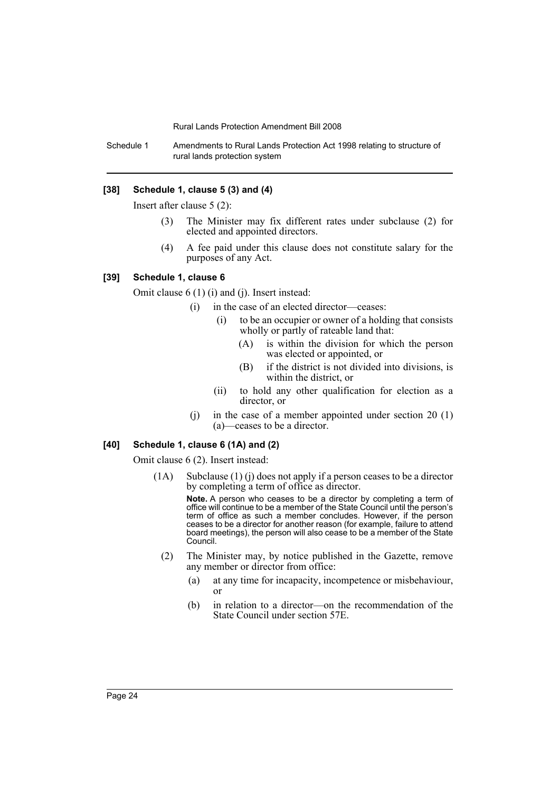Schedule 1 Amendments to Rural Lands Protection Act 1998 relating to structure of rural lands protection system

#### **[38] Schedule 1, clause 5 (3) and (4)**

Insert after clause 5 (2):

- (3) The Minister may fix different rates under subclause (2) for elected and appointed directors.
- (4) A fee paid under this clause does not constitute salary for the purposes of any Act.

### **[39] Schedule 1, clause 6**

Omit clause 6 (1) (i) and (j). Insert instead:

- (i) in the case of an elected director—ceases:
	- (i) to be an occupier or owner of a holding that consists wholly or partly of rateable land that:
		- (A) is within the division for which the person was elected or appointed, or
		- (B) if the district is not divided into divisions, is within the district, or
	- (ii) to hold any other qualification for election as a director, or
- (j) in the case of a member appointed under section 20 (1) (a)—ceases to be a director.

#### **[40] Schedule 1, clause 6 (1A) and (2)**

Omit clause 6 (2). Insert instead:

(1A) Subclause (1) (j) does not apply if a person ceases to be a director by completing a term of office as director.

**Note.** A person who ceases to be a director by completing a term of office will continue to be a member of the State Council until the person's term of office as such a member concludes. However, if the person ceases to be a director for another reason (for example, failure to attend board meetings), the person will also cease to be a member of the State Council.

- (2) The Minister may, by notice published in the Gazette, remove any member or director from office:
	- (a) at any time for incapacity, incompetence or misbehaviour, or
	- (b) in relation to a director—on the recommendation of the State Council under section 57E.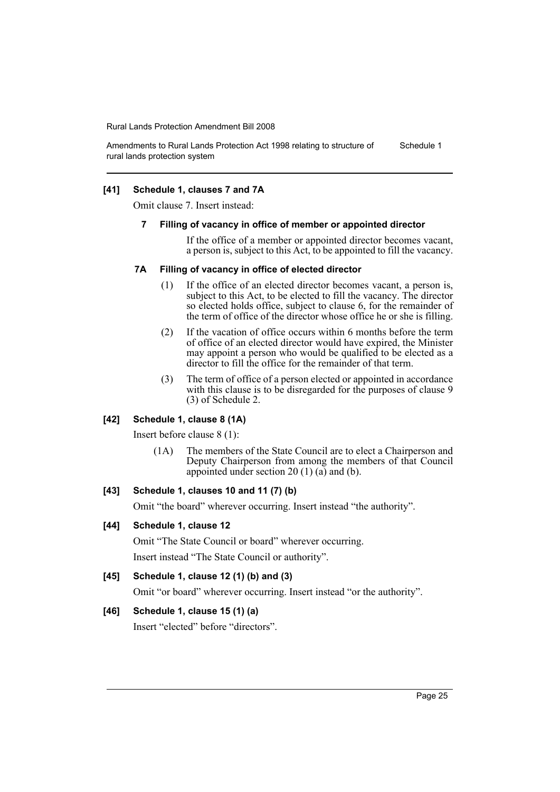Amendments to Rural Lands Protection Act 1998 relating to structure of rural lands protection system Schedule 1

### **[41] Schedule 1, clauses 7 and 7A**

Omit clause 7. Insert instead:

#### **7 Filling of vacancy in office of member or appointed director**

If the office of a member or appointed director becomes vacant, a person is, subject to this Act, to be appointed to fill the vacancy.

#### **7A Filling of vacancy in office of elected director**

- (1) If the office of an elected director becomes vacant, a person is, subject to this Act, to be elected to fill the vacancy. The director so elected holds office, subject to clause 6, for the remainder of the term of office of the director whose office he or she is filling.
- (2) If the vacation of office occurs within 6 months before the term of office of an elected director would have expired, the Minister may appoint a person who would be qualified to be elected as a director to fill the office for the remainder of that term.
- (3) The term of office of a person elected or appointed in accordance with this clause is to be disregarded for the purposes of clause 9 (3) of Schedule 2.

### **[42] Schedule 1, clause 8 (1A)**

Insert before clause 8 (1):

(1A) The members of the State Council are to elect a Chairperson and Deputy Chairperson from among the members of that Council appointed under section 20  $(1)$   $(\overline{a})$  and  $(b)$ .

### **[43] Schedule 1, clauses 10 and 11 (7) (b)**

Omit "the board" wherever occurring. Insert instead "the authority".

#### **[44] Schedule 1, clause 12**

Omit "The State Council or board" wherever occurring.

Insert instead "The State Council or authority".

### **[45] Schedule 1, clause 12 (1) (b) and (3)**

Omit "or board" wherever occurring. Insert instead "or the authority".

#### **[46] Schedule 1, clause 15 (1) (a)**

Insert "elected" before "directors".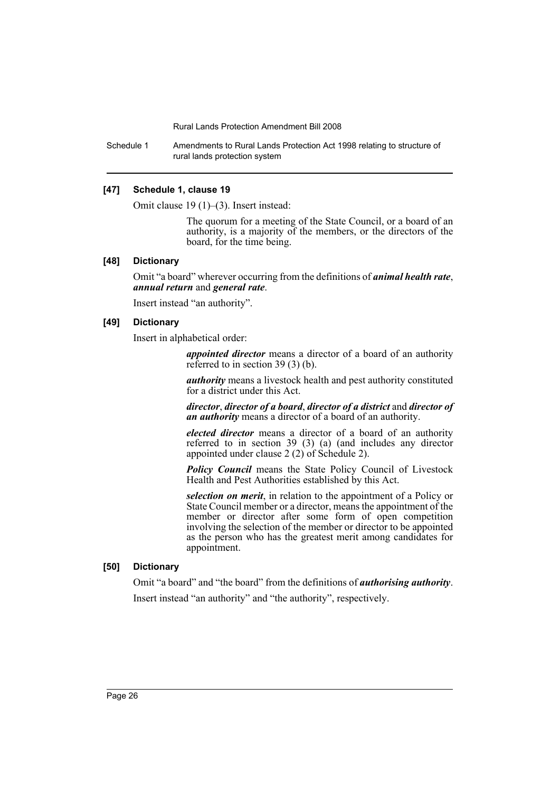Schedule 1 Amendments to Rural Lands Protection Act 1998 relating to structure of rural lands protection system

#### **[47] Schedule 1, clause 19**

Omit clause 19 (1)–(3). Insert instead:

The quorum for a meeting of the State Council, or a board of an authority, is a majority of the members, or the directors of the board, for the time being.

### **[48] Dictionary**

Omit "a board" wherever occurring from the definitions of *animal health rate*, *annual return* and *general rate*.

Insert instead "an authority".

#### **[49] Dictionary**

Insert in alphabetical order:

*appointed director* means a director of a board of an authority referred to in section 39 (3) (b).

*authority* means a livestock health and pest authority constituted for a district under this Act.

*director*, *director of a board*, *director of a district* and *director of an authority* means a director of a board of an authority.

*elected director* means a director of a board of an authority referred to in section 39 (3) (a) (and includes any director appointed under clause 2 (2) of Schedule 2).

*Policy Council* means the State Policy Council of Livestock Health and Pest Authorities established by this Act.

*selection on merit*, in relation to the appointment of a Policy or State Council member or a director, means the appointment of the member or director after some form of open competition involving the selection of the member or director to be appointed as the person who has the greatest merit among candidates for appointment.

### **[50] Dictionary**

Omit "a board" and "the board" from the definitions of *authorising authority*. Insert instead "an authority" and "the authority", respectively.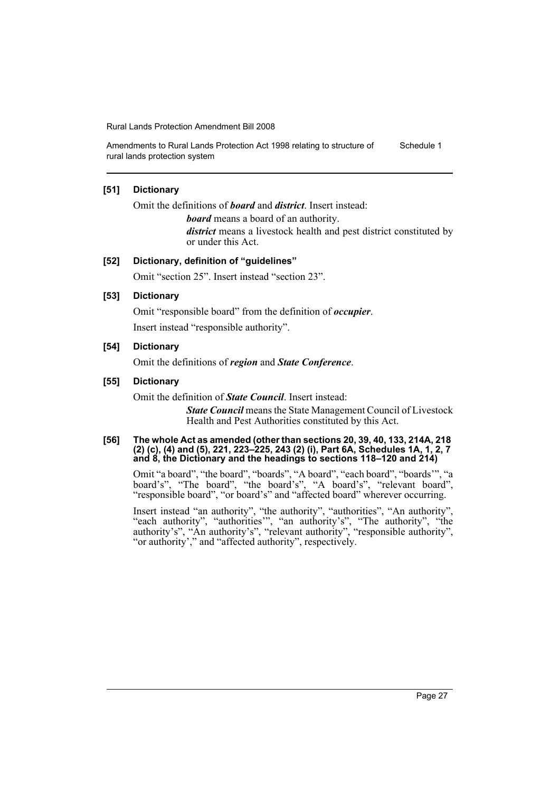Amendments to Rural Lands Protection Act 1998 relating to structure of rural lands protection system Schedule 1

### **[51] Dictionary**

Omit the definitions of *board* and *district*. Insert instead:

*board* means a board of an authority.

*district* means a livestock health and pest district constituted by or under this Act.

#### **[52] Dictionary, definition of "guidelines"**

Omit "section 25". Insert instead "section 23".

### **[53] Dictionary**

Omit "responsible board" from the definition of *occupier*. Insert instead "responsible authority".

### **[54] Dictionary**

Omit the definitions of *region* and *State Conference*.

### **[55] Dictionary**

Omit the definition of *State Council*. Insert instead:

*State Council* means the State Management Council of Livestock Health and Pest Authorities constituted by this Act.

#### **[56] The whole Act as amended (other than sections 20, 39, 40, 133, 214A, 218 (2) (c), (4) and (5), 221, 223–225, 243 (2) (i), Part 6A, Schedules 1A, 1, 2, 7 and 8, the Dictionary and the headings to sections 118–120 and 214)**

Omit "a board", "the board", "boards", "A board", "each board", "boards'", "a board's", "The board", "the board's", "A board's", "relevant board", "responsible board", "or board's" and "affected board" wherever occurring.

Insert instead "an authority", "the authority", "authorities", "An authority", "each authority", "authorities'", "an authority's", "The authority", "the authority's", "An authority's", "relevant authority", "responsible authority", "or authority'," and "affected authority", respectively.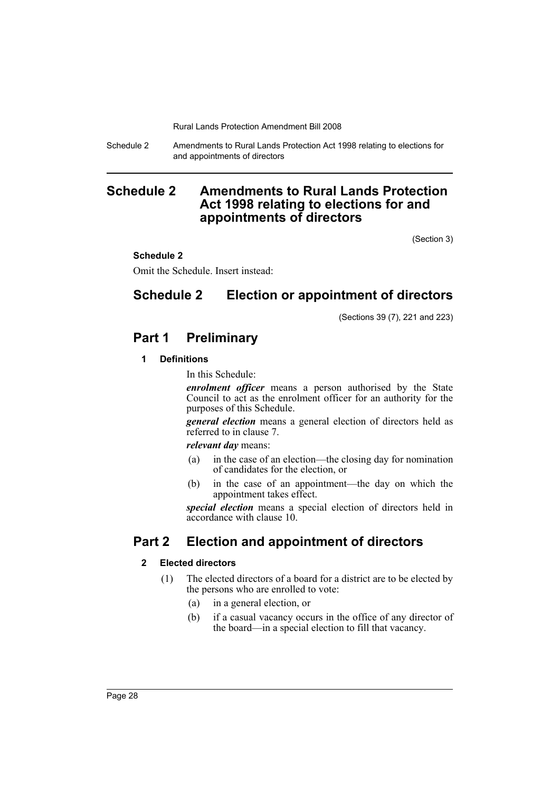Schedule 2 Amendments to Rural Lands Protection Act 1998 relating to elections for and appointments of directors

## <span id="page-29-0"></span>**Schedule 2 Amendments to Rural Lands Protection Act 1998 relating to elections for and appointments of directors**

(Section 3)

### **Schedule 2**

Omit the Schedule. Insert instead:

## **Schedule 2 Election or appointment of directors**

(Sections 39 (7), 221 and 223)

## **Part 1 Preliminary**

### **1 Definitions**

In this Schedule:

*enrolment officer* means a person authorised by the State Council to act as the enrolment officer for an authority for the purposes of this Schedule.

*general election* means a general election of directors held as referred to in clause 7.

*relevant day* means:

- (a) in the case of an election—the closing day for nomination of candidates for the election, or
- (b) in the case of an appointment—the day on which the appointment takes effect.

*special election* means a special election of directors held in accordance with clause 10.

## **Part 2 Election and appointment of directors**

### **2 Elected directors**

- (1) The elected directors of a board for a district are to be elected by the persons who are enrolled to vote:
	- (a) in a general election, or
	- (b) if a casual vacancy occurs in the office of any director of the board—in a special election to fill that vacancy.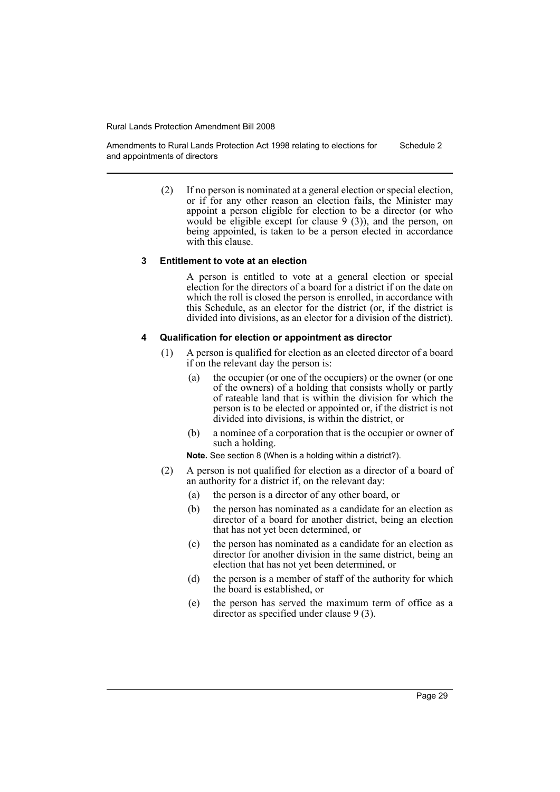Amendments to Rural Lands Protection Act 1998 relating to elections for and appointments of directors Schedule 2

> (2) If no person is nominated at a general election or special election, or if for any other reason an election fails, the Minister may appoint a person eligible for election to be a director (or who would be eligible except for clause 9 (3)), and the person, on being appointed, is taken to be a person elected in accordance with this clause.

#### **3 Entitlement to vote at an election**

A person is entitled to vote at a general election or special election for the directors of a board for a district if on the date on which the roll is closed the person is enrolled, in accordance with this Schedule, as an elector for the district (or, if the district is divided into divisions, as an elector for a division of the district).

#### **4 Qualification for election or appointment as director**

- (1) A person is qualified for election as an elected director of a board if on the relevant day the person is:
	- (a) the occupier (or one of the occupiers) or the owner (or one of the owners) of a holding that consists wholly or partly of rateable land that is within the division for which the person is to be elected or appointed or, if the district is not divided into divisions, is within the district, or
	- (b) a nominee of a corporation that is the occupier or owner of such a holding.

**Note.** See section 8 (When is a holding within a district?).

- (2) A person is not qualified for election as a director of a board of an authority for a district if, on the relevant day:
	- (a) the person is a director of any other board, or
	- (b) the person has nominated as a candidate for an election as director of a board for another district, being an election that has not yet been determined, or
	- (c) the person has nominated as a candidate for an election as director for another division in the same district, being an election that has not yet been determined, or
	- (d) the person is a member of staff of the authority for which the board is established, or
	- (e) the person has served the maximum term of office as a director as specified under clause 9 (3).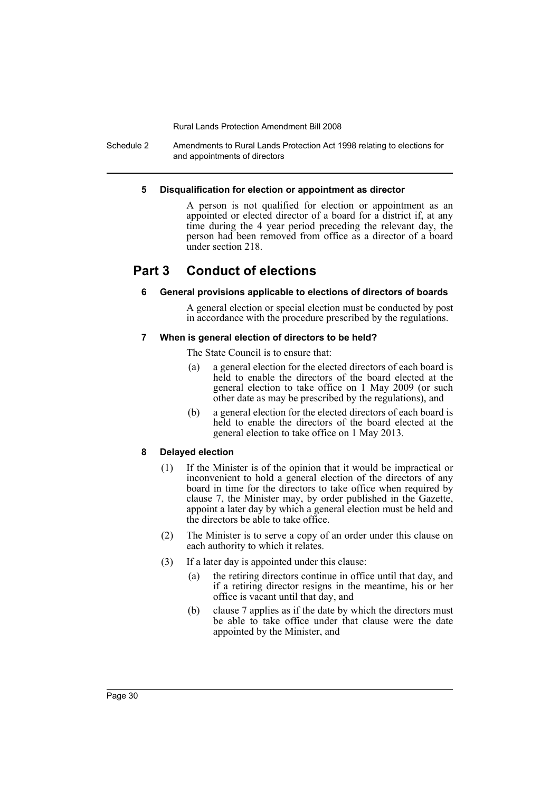Schedule 2 Amendments to Rural Lands Protection Act 1998 relating to elections for and appointments of directors

#### **5 Disqualification for election or appointment as director**

A person is not qualified for election or appointment as an appointed or elected director of a board for a district if, at any time during the 4 year period preceding the relevant day, the person had been removed from office as a director of a board under section 218.

## **Part 3 Conduct of elections**

### **6 General provisions applicable to elections of directors of boards**

A general election or special election must be conducted by post in accordance with the procedure prescribed by the regulations.

### **7 When is general election of directors to be held?**

The State Council is to ensure that:

- (a) a general election for the elected directors of each board is held to enable the directors of the board elected at the general election to take office on 1 May 2009 (or such other date as may be prescribed by the regulations), and
- (b) a general election for the elected directors of each board is held to enable the directors of the board elected at the general election to take office on 1 May 2013.

### **8 Delayed election**

- (1) If the Minister is of the opinion that it would be impractical or inconvenient to hold a general election of the directors of any board in time for the directors to take office when required by clause 7, the Minister may, by order published in the Gazette, appoint a later day by which a general election must be held and the directors be able to take office.
- (2) The Minister is to serve a copy of an order under this clause on each authority to which it relates.
- (3) If a later day is appointed under this clause:
	- (a) the retiring directors continue in office until that day, and if a retiring director resigns in the meantime, his or her office is vacant until that day, and
	- (b) clause 7 applies as if the date by which the directors must be able to take office under that clause were the date appointed by the Minister, and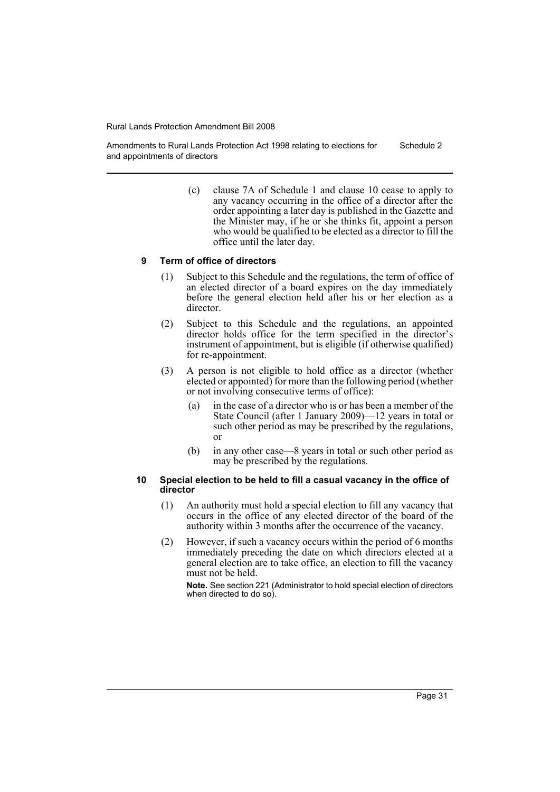Amendments to Rural Lands Protection Act 1998 relating to elections for and appointments of directors Schedule 2

> (c) clause 7A of Schedule 1 and clause 10 cease to apply to any vacancy occurring in the office of a director after the order appointing a later day is published in the Gazette and the Minister may, if he or she thinks fit, appoint a person who would be qualified to be elected as a director to fill the office until the later day.

#### **9 Term of office of directors**

- (1) Subject to this Schedule and the regulations, the term of office of an elected director of a board expires on the day immediately before the general election held after his or her election as a director.
- (2) Subject to this Schedule and the regulations, an appointed director holds office for the term specified in the director's instrument of appointment, but is eligible (if otherwise qualified) for re-appointment.
- (3) A person is not eligible to hold office as a director (whether elected or appointed) for more than the following period (whether or not involving consecutive terms of office):
	- (a) in the case of a director who is or has been a member of the State Council (after 1 January 2009)—12 years in total or such other period as may be prescribed by the regulations, or
	- (b) in any other case—8 years in total or such other period as may be prescribed by the regulations.

#### **10 Special election to be held to fill a casual vacancy in the office of director**

- (1) An authority must hold a special election to fill any vacancy that occurs in the office of any elected director of the board of the authority within 3 months after the occurrence of the vacancy.
- (2) However, if such a vacancy occurs within the period of 6 months immediately preceding the date on which directors elected at a general election are to take office, an election to fill the vacancy must not be held.

**Note.** See section 221 (Administrator to hold special election of directors when directed to do so).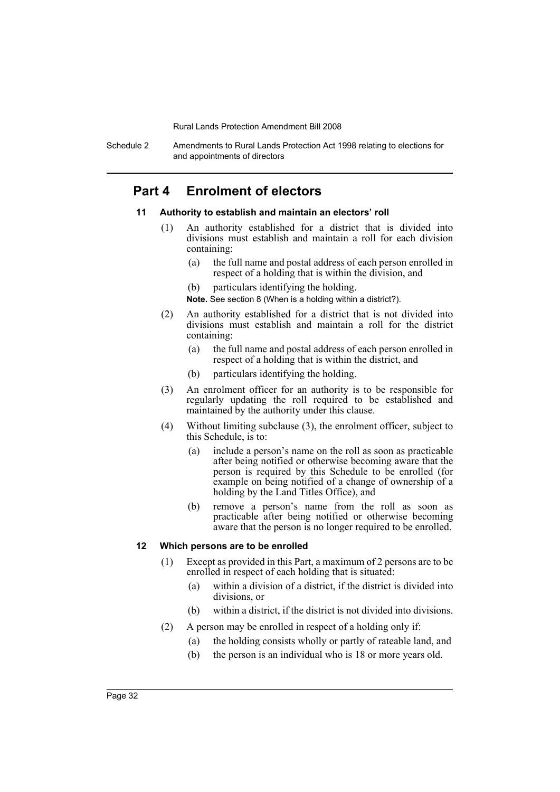Schedule 2 Amendments to Rural Lands Protection Act 1998 relating to elections for and appointments of directors

## **Part 4 Enrolment of electors**

#### **11 Authority to establish and maintain an electors' roll**

- (1) An authority established for a district that is divided into divisions must establish and maintain a roll for each division containing:
	- (a) the full name and postal address of each person enrolled in respect of a holding that is within the division, and
	- (b) particulars identifying the holding.

**Note.** See section 8 (When is a holding within a district?).

- (2) An authority established for a district that is not divided into divisions must establish and maintain a roll for the district containing:
	- (a) the full name and postal address of each person enrolled in respect of a holding that is within the district, and
	- (b) particulars identifying the holding.
- (3) An enrolment officer for an authority is to be responsible for regularly updating the roll required to be established and maintained by the authority under this clause.
- (4) Without limiting subclause (3), the enrolment officer, subject to this Schedule, is to:
	- (a) include a person's name on the roll as soon as practicable after being notified or otherwise becoming aware that the person is required by this Schedule to be enrolled (for example on being notified of a change of ownership of a holding by the Land Titles Office), and
	- (b) remove a person's name from the roll as soon as practicable after being notified or otherwise becoming aware that the person is no longer required to be enrolled.

#### **12 Which persons are to be enrolled**

- (1) Except as provided in this Part, a maximum of 2 persons are to be enrolled in respect of each holding that is situated:
	- (a) within a division of a district, if the district is divided into divisions, or
	- (b) within a district, if the district is not divided into divisions.
- (2) A person may be enrolled in respect of a holding only if:
	- (a) the holding consists wholly or partly of rateable land, and
	- (b) the person is an individual who is 18 or more years old.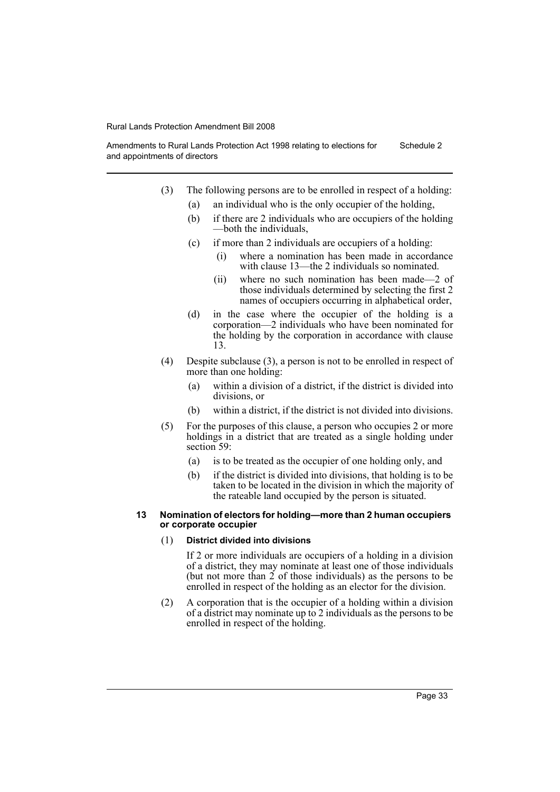Amendments to Rural Lands Protection Act 1998 relating to elections for and appointments of directors Schedule 2

- (3) The following persons are to be enrolled in respect of a holding:
	- (a) an individual who is the only occupier of the holding,
	- (b) if there are 2 individuals who are occupiers of the holding —both the individuals,
	- (c) if more than 2 individuals are occupiers of a holding:
		- (i) where a nomination has been made in accordance with clause 13—the 2 individuals so nominated.
		- (ii) where no such nomination has been made—2 of those individuals determined by selecting the first 2 names of occupiers occurring in alphabetical order,
	- (d) in the case where the occupier of the holding is a corporation—2 individuals who have been nominated for the holding by the corporation in accordance with clause 13.
- (4) Despite subclause (3), a person is not to be enrolled in respect of more than one holding:
	- (a) within a division of a district, if the district is divided into divisions, or
	- (b) within a district, if the district is not divided into divisions.
- (5) For the purposes of this clause, a person who occupies 2 or more holdings in a district that are treated as a single holding under section 59:
	- (a) is to be treated as the occupier of one holding only, and
	- (b) if the district is divided into divisions, that holding is to be taken to be located in the division in which the majority of the rateable land occupied by the person is situated.

#### **13 Nomination of electors for holding—more than 2 human occupiers or corporate occupier**

#### (1) **District divided into divisions**

If 2 or more individuals are occupiers of a holding in a division of a district, they may nominate at least one of those individuals (but not more than  $\tilde{2}$  of those individuals) as the persons to be enrolled in respect of the holding as an elector for the division.

(2) A corporation that is the occupier of a holding within a division of a district may nominate up to 2 individuals as the persons to be enrolled in respect of the holding.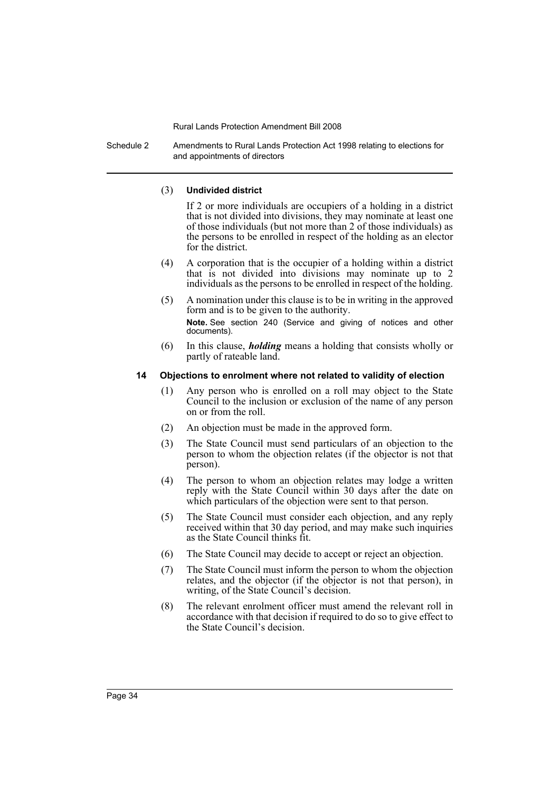Schedule 2 Amendments to Rural Lands Protection Act 1998 relating to elections for and appointments of directors

#### (3) **Undivided district**

If 2 or more individuals are occupiers of a holding in a district that is not divided into divisions, they may nominate at least one of those individuals (but not more than 2 of those individuals) as the persons to be enrolled in respect of the holding as an elector for the district.

- (4) A corporation that is the occupier of a holding within a district that is not divided into divisions may nominate up to 2 individuals as the persons to be enrolled in respect of the holding.
- (5) A nomination under this clause is to be in writing in the approved form and is to be given to the authority. **Note.** See section 240 (Service and giving of notices and other documents).
- (6) In this clause, *holding* means a holding that consists wholly or partly of rateable land.

### **14 Objections to enrolment where not related to validity of election**

- (1) Any person who is enrolled on a roll may object to the State Council to the inclusion or exclusion of the name of any person on or from the roll.
- (2) An objection must be made in the approved form.
- (3) The State Council must send particulars of an objection to the person to whom the objection relates (if the objector is not that person).
- (4) The person to whom an objection relates may lodge a written reply with the State Council within 30 days after the date on which particulars of the objection were sent to that person.
- (5) The State Council must consider each objection, and any reply received within that 30 day period, and may make such inquiries as the State Council thinks fit.
- (6) The State Council may decide to accept or reject an objection.
- (7) The State Council must inform the person to whom the objection relates, and the objector (if the objector is not that person), in writing, of the State Council's decision.
- (8) The relevant enrolment officer must amend the relevant roll in accordance with that decision if required to do so to give effect to the State Council's decision.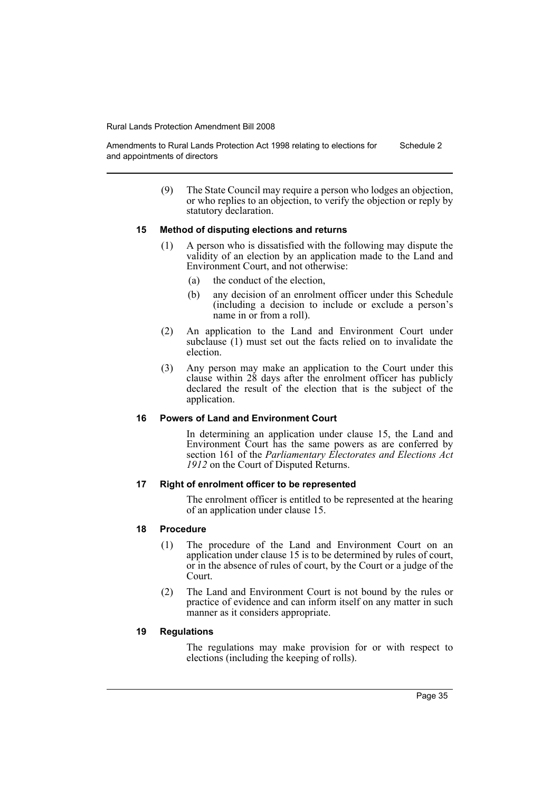Amendments to Rural Lands Protection Act 1998 relating to elections for and appointments of directors Schedule 2

> (9) The State Council may require a person who lodges an objection, or who replies to an objection, to verify the objection or reply by statutory declaration.

### **15 Method of disputing elections and returns**

- (1) A person who is dissatisfied with the following may dispute the validity of an election by an application made to the Land and Environment Court, and not otherwise:
	- (a) the conduct of the election,
	- (b) any decision of an enrolment officer under this Schedule (including a decision to include or exclude a person's name in or from a roll).
- (2) An application to the Land and Environment Court under subclause (1) must set out the facts relied on to invalidate the election.
- (3) Any person may make an application to the Court under this clause within 28 days after the enrolment officer has publicly declared the result of the election that is the subject of the application.

### **16 Powers of Land and Environment Court**

In determining an application under clause 15, the Land and Environment Court has the same powers as are conferred by section 161 of the *Parliamentary Electorates and Elections Act 1912* on the Court of Disputed Returns.

### **17 Right of enrolment officer to be represented**

The enrolment officer is entitled to be represented at the hearing of an application under clause 15.

### **18 Procedure**

- (1) The procedure of the Land and Environment Court on an application under clause 15 is to be determined by rules of court, or in the absence of rules of court, by the Court or a judge of the Court.
- (2) The Land and Environment Court is not bound by the rules or practice of evidence and can inform itself on any matter in such manner as it considers appropriate.

### **19 Regulations**

The regulations may make provision for or with respect to elections (including the keeping of rolls).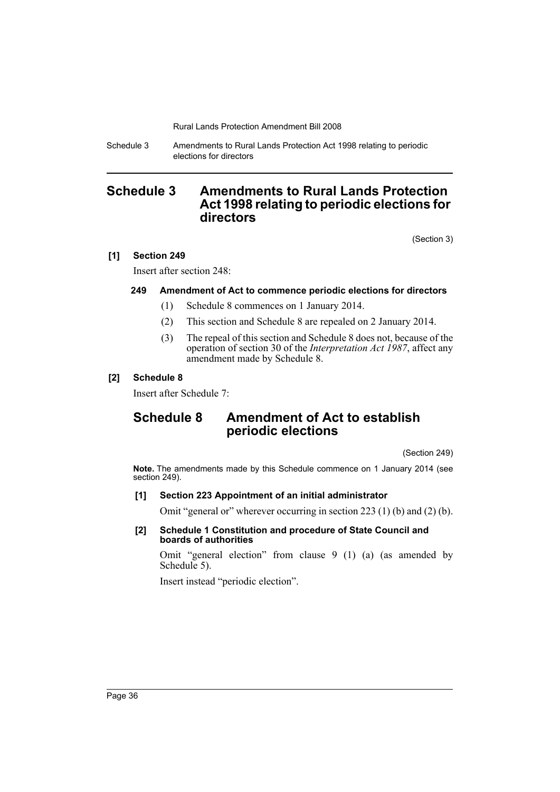Schedule 3 Amendments to Rural Lands Protection Act 1998 relating to periodic elections for directors

## <span id="page-37-0"></span>**Schedule 3 Amendments to Rural Lands Protection Act 1998 relating to periodic elections for directors**

(Section 3)

### **[1] Section 249**

Insert after section 248:

### **249 Amendment of Act to commence periodic elections for directors**

- (1) Schedule 8 commences on 1 January 2014.
- (2) This section and Schedule 8 are repealed on 2 January 2014.
- (3) The repeal of this section and Schedule 8 does not, because of the operation of section 30 of the *Interpretation Act 1987*, affect any amendment made by Schedule 8.

### **[2] Schedule 8**

Insert after Schedule 7:

## **Schedule 8 Amendment of Act to establish periodic elections**

(Section 249)

**Note.** The amendments made by this Schedule commence on 1 January 2014 (see section 249).

### **[1] Section 223 Appointment of an initial administrator**

Omit "general or" wherever occurring in section 223 (1) (b) and (2) (b).

**[2] Schedule 1 Constitution and procedure of State Council and boards of authorities**

Omit "general election" from clause 9 (1) (a) (as amended by Schedule 5).

Insert instead "periodic election".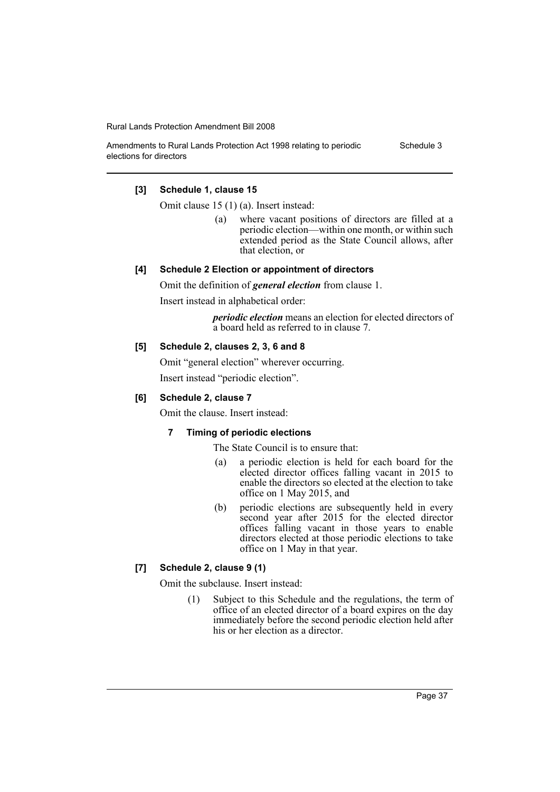Schedule 3

#### Amendments to Rural Lands Protection Act 1998 relating to periodic elections for directors

### **[3] Schedule 1, clause 15**

Omit clause 15 (1) (a). Insert instead:

(a) where vacant positions of directors are filled at a periodic election—within one month, or within such extended period as the State Council allows, after that election, or

### **[4] Schedule 2 Election or appointment of directors**

Omit the definition of *general election* from clause 1.

Insert instead in alphabetical order:

*periodic election* means an election for elected directors of a board held as referred to in clause 7.

### **[5] Schedule 2, clauses 2, 3, 6 and 8**

Omit "general election" wherever occurring. Insert instead "periodic election".

### **[6] Schedule 2, clause 7**

Omit the clause. Insert instead:

### **7 Timing of periodic elections**

The State Council is to ensure that:

- (a) a periodic election is held for each board for the elected director offices falling vacant in 2015 to enable the directors so elected at the election to take office on 1 May 2015, and
- (b) periodic elections are subsequently held in every second year after 2015 for the elected director offices falling vacant in those years to enable directors elected at those periodic elections to take office on 1 May in that year.

### **[7] Schedule 2, clause 9 (1)**

Omit the subclause. Insert instead:

(1) Subject to this Schedule and the regulations, the term of office of an elected director of a board expires on the day immediately before the second periodic election held after his or her election as a director.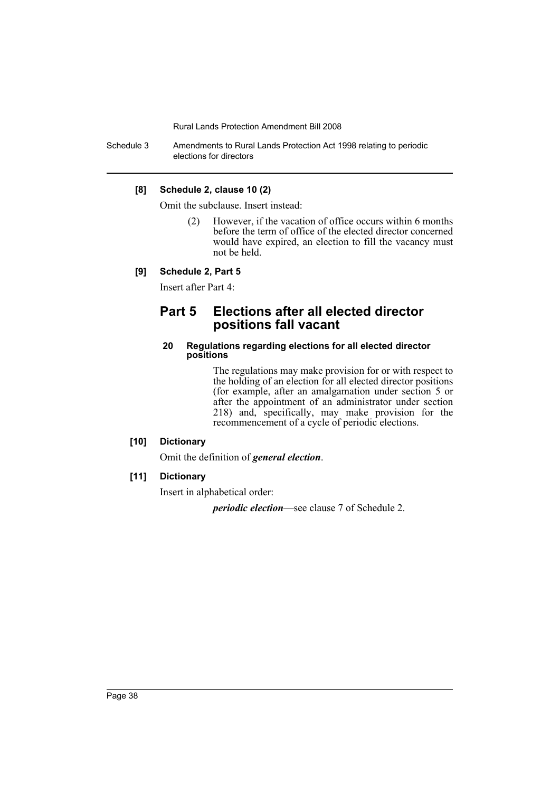Schedule 3 Amendments to Rural Lands Protection Act 1998 relating to periodic elections for directors

### **[8] Schedule 2, clause 10 (2)**

Omit the subclause. Insert instead:

(2) However, if the vacation of office occurs within 6 months before the term of office of the elected director concerned would have expired, an election to fill the vacancy must not be held.

### **[9] Schedule 2, Part 5**

Insert after Part 4:

## **Part 5 Elections after all elected director positions fall vacant**

#### **20 Regulations regarding elections for all elected director positions**

The regulations may make provision for or with respect to the holding of an election for all elected director positions (for example, after an amalgamation under section 5 or after the appointment of an administrator under section 218) and, specifically, may make provision for the recommencement of a cycle of periodic elections.

### **[10] Dictionary**

Omit the definition of *general election*.

#### **[11] Dictionary**

Insert in alphabetical order:

*periodic election*—see clause 7 of Schedule 2.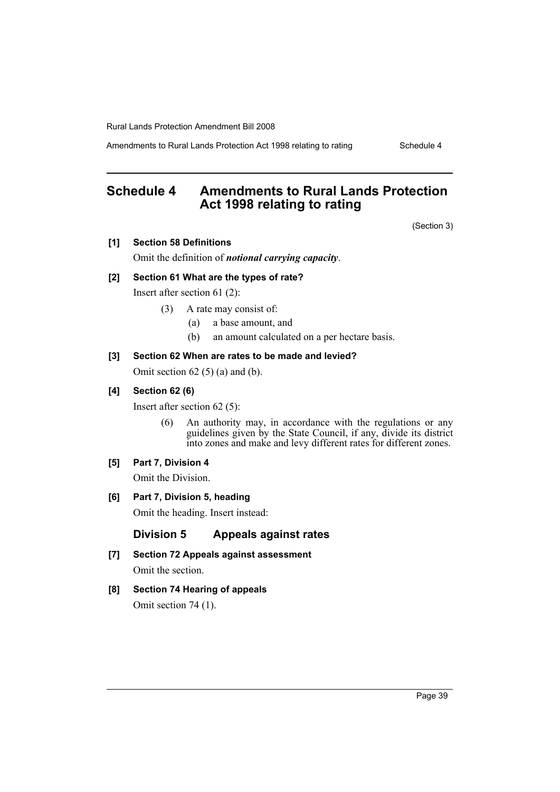Amendments to Rural Lands Protection Act 1998 relating to rating Schedule 4

## <span id="page-40-0"></span>**Schedule 4 Amendments to Rural Lands Protection Act 1998 relating to rating**

(Section 3)

**[1] Section 58 Definitions**

Omit the definition of *notional carrying capacity*.

#### **[2] Section 61 What are the types of rate?**

Insert after section 61 (2):

- (3) A rate may consist of:
	- (a) a base amount, and
	- (b) an amount calculated on a per hectare basis.

#### **[3] Section 62 When are rates to be made and levied?**

Omit section  $62(5)(a)$  and  $(b)$ .

#### **[4] Section 62 (6)**

Insert after section 62 (5):

(6) An authority may, in accordance with the regulations or any guidelines given by the State Council, if any, divide its district into zones and make and levy different rates for different zones.

#### **[5] Part 7, Division 4**

Omit the Division.

**[6] Part 7, Division 5, heading**

Omit the heading. Insert instead:

### **Division 5 Appeals against rates**

- **[7] Section 72 Appeals against assessment** Omit the section.
- **[8] Section 74 Hearing of appeals** Omit section 74 (1).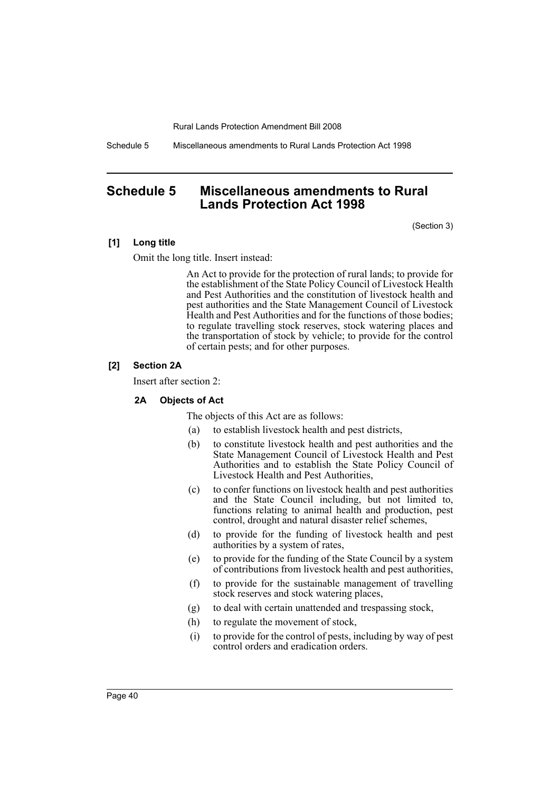Schedule 5 Miscellaneous amendments to Rural Lands Protection Act 1998

## <span id="page-41-0"></span>**Schedule 5 Miscellaneous amendments to Rural Lands Protection Act 1998**

(Section 3)

### **[1] Long title**

Omit the long title. Insert instead:

An Act to provide for the protection of rural lands; to provide for the establishment of the State Policy Council of Livestock Health and Pest Authorities and the constitution of livestock health and pest authorities and the State Management Council of Livestock Health and Pest Authorities and for the functions of those bodies; to regulate travelling stock reserves, stock watering places and the transportation of stock by vehicle; to provide for the control of certain pests; and for other purposes.

### **[2] Section 2A**

Insert after section 2:

### **2A Objects of Act**

The objects of this Act are as follows:

- (a) to establish livestock health and pest districts,
- (b) to constitute livestock health and pest authorities and the State Management Council of Livestock Health and Pest Authorities and to establish the State Policy Council of Livestock Health and Pest Authorities,
- (c) to confer functions on livestock health and pest authorities and the State Council including, but not limited to, functions relating to animal health and production, pest control, drought and natural disaster relief schemes,
- (d) to provide for the funding of livestock health and pest authorities by a system of rates,
- (e) to provide for the funding of the State Council by a system of contributions from livestock health and pest authorities,
- (f) to provide for the sustainable management of travelling stock reserves and stock watering places,
- (g) to deal with certain unattended and trespassing stock,
- (h) to regulate the movement of stock,
- (i) to provide for the control of pests, including by way of pest control orders and eradication orders.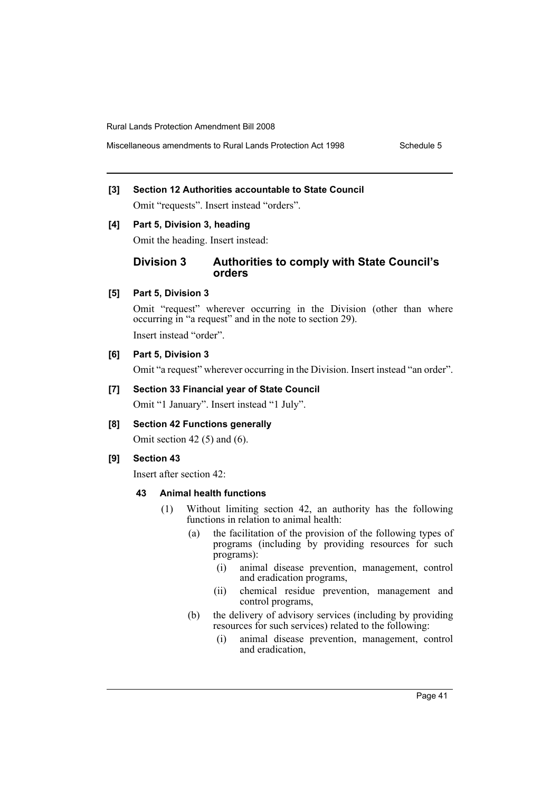Miscellaneous amendments to Rural Lands Protection Act 1998 Schedule 5

### **[3] Section 12 Authorities accountable to State Council**

Omit "requests". Insert instead "orders".

### **[4] Part 5, Division 3, heading**

Omit the heading. Insert instead:

### **Division 3 Authorities to comply with State Council's orders**

### **[5] Part 5, Division 3**

Omit "request" wherever occurring in the Division (other than where occurring in "a request" and in the note to section 29).

Insert instead "order".

### **[6] Part 5, Division 3**

Omit "a request" wherever occurring in the Division. Insert instead "an order".

### **[7] Section 33 Financial year of State Council**

Omit "1 January". Insert instead "1 July".

### **[8] Section 42 Functions generally**

Omit section 42 $(5)$  and  $(6)$ .

### **[9] Section 43**

Insert after section 42:

#### **43 Animal health functions**

- (1) Without limiting section 42, an authority has the following functions in relation to animal health:
	- (a) the facilitation of the provision of the following types of programs (including by providing resources for such programs):
		- (i) animal disease prevention, management, control and eradication programs,
		- (ii) chemical residue prevention, management and control programs,
	- (b) the delivery of advisory services (including by providing resources for such services) related to the following:
		- (i) animal disease prevention, management, control and eradication,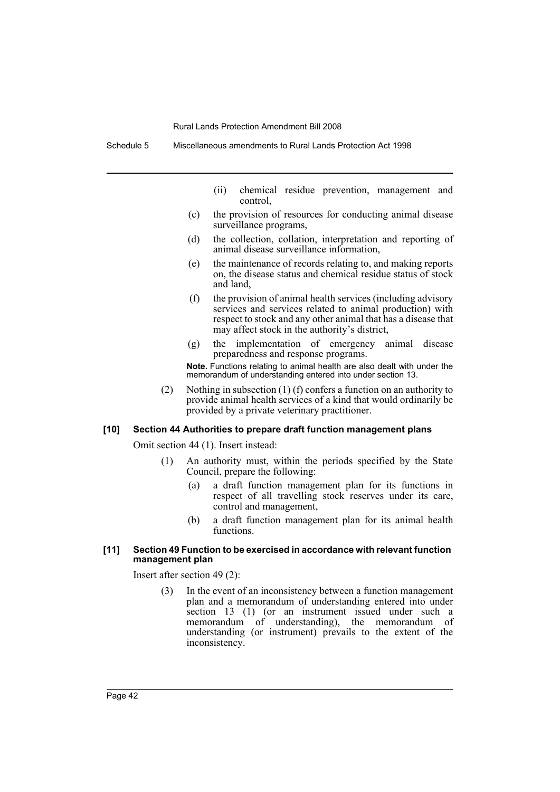- (ii) chemical residue prevention, management and control,
- (c) the provision of resources for conducting animal disease surveillance programs,
- (d) the collection, collation, interpretation and reporting of animal disease surveillance information,
- (e) the maintenance of records relating to, and making reports on, the disease status and chemical residue status of stock and land,
- (f) the provision of animal health services (including advisory services and services related to animal production) with respect to stock and any other animal that has a disease that may affect stock in the authority's district,
- (g) the implementation of emergency animal disease preparedness and response programs.

**Note.** Functions relating to animal health are also dealt with under the memorandum of understanding entered into under section 13.

(2) Nothing in subsection (1) (f) confers a function on an authority to provide animal health services of a kind that would ordinarily be provided by a private veterinary practitioner.

#### **[10] Section 44 Authorities to prepare draft function management plans**

Omit section 44 (1). Insert instead:

- (1) An authority must, within the periods specified by the State Council, prepare the following:
	- (a) a draft function management plan for its functions in respect of all travelling stock reserves under its care, control and management,
	- (b) a draft function management plan for its animal health functions.

### **[11] Section 49 Function to be exercised in accordance with relevant function management plan**

Insert after section 49 (2):

(3) In the event of an inconsistency between a function management plan and a memorandum of understanding entered into under section 13 (1) (or an instrument issued under such a memorandum of understanding), the memorandum of understanding (or instrument) prevails to the extent of the inconsistency.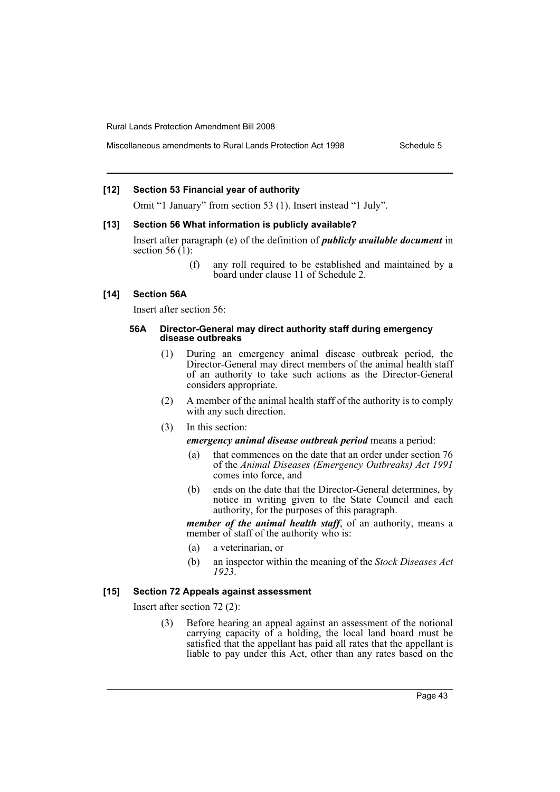#### **[12] Section 53 Financial year of authority**

Omit "1 January" from section 53 (1). Insert instead "1 July".

#### **[13] Section 56 What information is publicly available?**

Insert after paragraph (e) of the definition of *publicly available document* in section 56 $(1)$ :

> (f) any roll required to be established and maintained by a board under clause 11 of Schedule 2.

### **[14] Section 56A**

Insert after section 56:

#### **56A Director-General may direct authority staff during emergency disease outbreaks**

- (1) During an emergency animal disease outbreak period, the Director-General may direct members of the animal health staff of an authority to take such actions as the Director-General considers appropriate.
- (2) A member of the animal health staff of the authority is to comply with any such direction.
- (3) In this section:
	- *emergency animal disease outbreak period* means a period:
	- (a) that commences on the date that an order under section 76 of the *Animal Diseases (Emergency Outbreaks) Act 1991* comes into force, and
	- (b) ends on the date that the Director-General determines, by notice in writing given to the State Council and each authority, for the purposes of this paragraph.

*member of the animal health staff*, of an authority, means a member of staff of the authority who is:

- (a) a veterinarian, or
- (b) an inspector within the meaning of the *Stock Diseases Act 1923*.

#### **[15] Section 72 Appeals against assessment**

Insert after section 72 (2):

(3) Before hearing an appeal against an assessment of the notional carrying capacity of a holding, the local land board must be satisfied that the appellant has paid all rates that the appellant is liable to pay under this Act, other than any rates based on the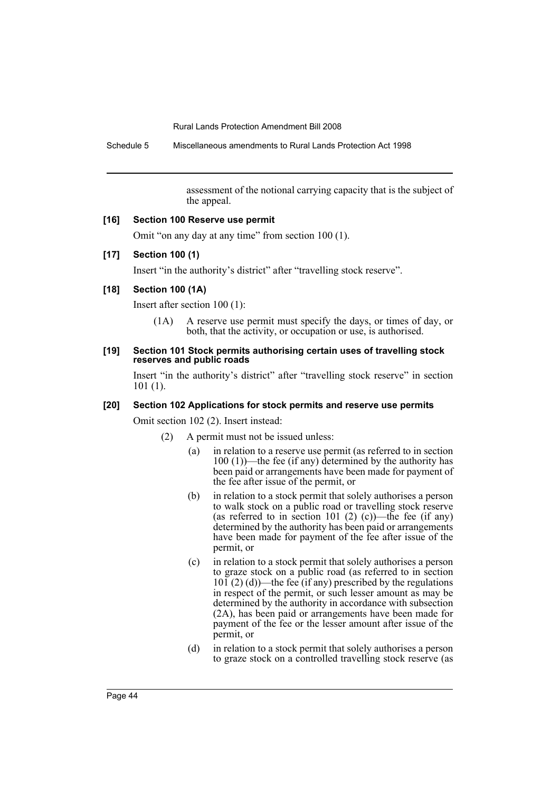Schedule 5 Miscellaneous amendments to Rural Lands Protection Act 1998

assessment of the notional carrying capacity that is the subject of the appeal.

### **[16] Section 100 Reserve use permit**

Omit "on any day at any time" from section 100 (1).

### **[17] Section 100 (1)**

Insert "in the authority's district" after "travelling stock reserve".

### **[18] Section 100 (1A)**

Insert after section 100 (1):

(1A) A reserve use permit must specify the days, or times of day, or both, that the activity, or occupation or use, is authorised.

#### **[19] Section 101 Stock permits authorising certain uses of travelling stock reserves and public roads**

Insert "in the authority's district" after "travelling stock reserve" in section 101 (1).

#### **[20] Section 102 Applications for stock permits and reserve use permits**

Omit section 102 (2). Insert instead:

- (2) A permit must not be issued unless:
	- (a) in relation to a reserve use permit (as referred to in section 100 (1))—the fee (if any) determined by the authority has been paid or arrangements have been made for payment of the fee after issue of the permit, or
	- (b) in relation to a stock permit that solely authorises a person to walk stock on a public road or travelling stock reserve (as referred to in section 101 (2) (c))—the fee (if any) determined by the authority has been paid or arrangements have been made for payment of the fee after issue of the permit, or
	- (c) in relation to a stock permit that solely authorises a person to graze stock on a public road (as referred to in section  $10\tilde{1}$  (2) (d))—the fee (if any) prescribed by the regulations in respect of the permit, or such lesser amount as may be determined by the authority in accordance with subsection (2A), has been paid or arrangements have been made for payment of the fee or the lesser amount after issue of the permit, or
	- (d) in relation to a stock permit that solely authorises a person to graze stock on a controlled travelling stock reserve (as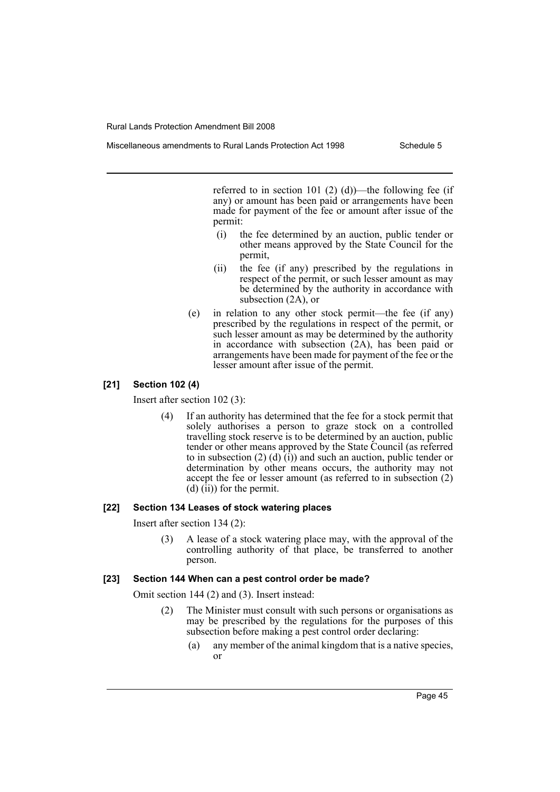Miscellaneous amendments to Rural Lands Protection Act 1998 Schedule 5

referred to in section 101 (2) (d))—the following fee (if any) or amount has been paid or arrangements have been made for payment of the fee or amount after issue of the permit:

- (i) the fee determined by an auction, public tender or other means approved by the State Council for the permit,
- (ii) the fee (if any) prescribed by the regulations in respect of the permit, or such lesser amount as may be determined by the authority in accordance with subsection (2A), or
- (e) in relation to any other stock permit—the fee (if any) prescribed by the regulations in respect of the permit, or such lesser amount as may be determined by the authority in accordance with subsection (2A), has been paid or arrangements have been made for payment of the fee or the lesser amount after issue of the permit.

### **[21] Section 102 (4)**

Insert after section 102 (3):

(4) If an authority has determined that the fee for a stock permit that solely authorises a person to graze stock on a controlled travelling stock reserve is to be determined by an auction, public tender or other means approved by the State Council (as referred to in subsection (2) (d)  $(i)$ ) and such an auction, public tender or determination by other means occurs, the authority may not accept the fee or lesser amount (as referred to in subsection (2)  $(d)$   $(i)$  for the permit.

### **[22] Section 134 Leases of stock watering places**

Insert after section 134 (2):

(3) A lease of a stock watering place may, with the approval of the controlling authority of that place, be transferred to another person.

### **[23] Section 144 When can a pest control order be made?**

Omit section 144 (2) and (3). Insert instead:

- (2) The Minister must consult with such persons or organisations as may be prescribed by the regulations for the purposes of this subsection before making a pest control order declaring:
	- (a) any member of the animal kingdom that is a native species, or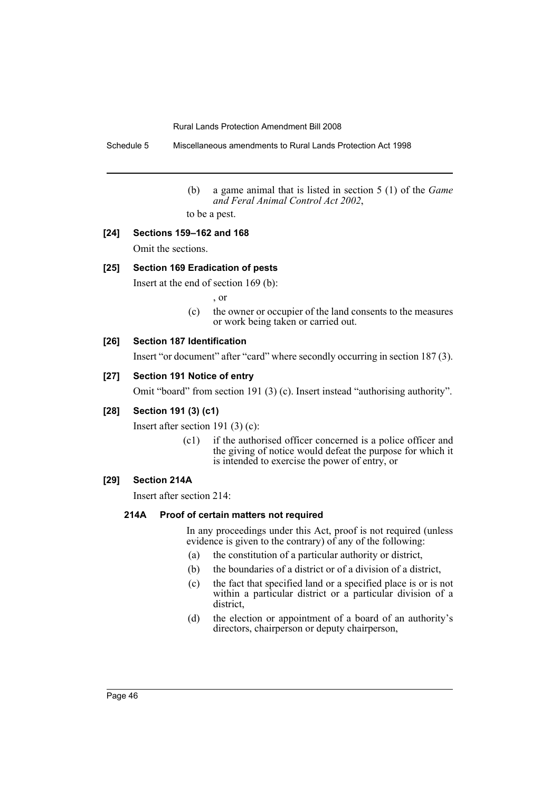Schedule 5 Miscellaneous amendments to Rural Lands Protection Act 1998

(b) a game animal that is listed in section 5 (1) of the *Game and Feral Animal Control Act 2002*,

to be a pest.

### **[24] Sections 159–162 and 168**

Omit the sections.

### **[25] Section 169 Eradication of pests**

Insert at the end of section 169 (b):

, or

(c) the owner or occupier of the land consents to the measures or work being taken or carried out.

### **[26] Section 187 Identification**

Insert "or document" after "card" where secondly occurring in section 187 (3).

### **[27] Section 191 Notice of entry**

Omit "board" from section 191 (3) (c). Insert instead "authorising authority".

### **[28] Section 191 (3) (c1)**

Insert after section 191 (3) (c):

(c1) if the authorised officer concerned is a police officer and the giving of notice would defeat the purpose for which it is intended to exercise the power of entry, or

### **[29] Section 214A**

Insert after section 214:

#### **214A Proof of certain matters not required**

In any proceedings under this Act, proof is not required (unless evidence is given to the contrary) of any of the following:

- (a) the constitution of a particular authority or district,
- (b) the boundaries of a district or of a division of a district,
- (c) the fact that specified land or a specified place is or is not within a particular district or a particular division of a district,
- (d) the election or appointment of a board of an authority's directors, chairperson or deputy chairperson,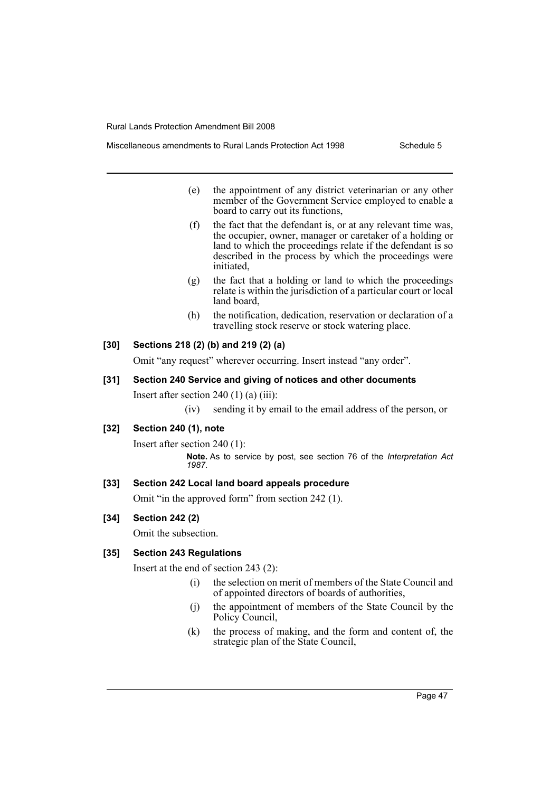- - (e) the appointment of any district veterinarian or any other member of the Government Service employed to enable a board to carry out its functions,
	- (f) the fact that the defendant is, or at any relevant time was, the occupier, owner, manager or caretaker of a holding or land to which the proceedings relate if the defendant is so described in the process by which the proceedings were initiated,
	- (g) the fact that a holding or land to which the proceedings relate is within the jurisdiction of a particular court or local land board,
	- (h) the notification, dedication, reservation or declaration of a travelling stock reserve or stock watering place.

### **[30] Sections 218 (2) (b) and 219 (2) (a)**

Omit "any request" wherever occurring. Insert instead "any order".

**[31] Section 240 Service and giving of notices and other documents**

Insert after section  $240(1)(a)(iii)$ :

(iv) sending it by email to the email address of the person, or

### **[32] Section 240 (1), note**

Insert after section 240 (1): **Note.** As to service by post, see section 76 of the *Interpretation Act 1987*.

### **[33] Section 242 Local land board appeals procedure**

Omit "in the approved form" from section 242 (1).

### **[34] Section 242 (2)**

Omit the subsection.

### **[35] Section 243 Regulations**

Insert at the end of section 243 (2):

- (i) the selection on merit of members of the State Council and of appointed directors of boards of authorities,
- (j) the appointment of members of the State Council by the Policy Council,
- (k) the process of making, and the form and content of, the strategic plan of the State Council,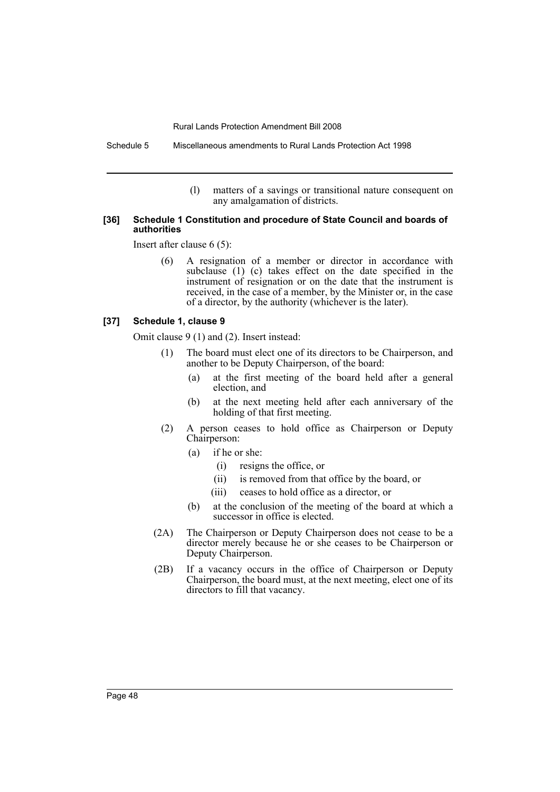(l) matters of a savings or transitional nature consequent on any amalgamation of districts.

#### **[36] Schedule 1 Constitution and procedure of State Council and boards of authorities**

Insert after clause 6 (5):

(6) A resignation of a member or director in accordance with subclause (1) (c) takes effect on the date specified in the instrument of resignation or on the date that the instrument is received, in the case of a member, by the Minister or, in the case of a director, by the authority (whichever is the later).

#### **[37] Schedule 1, clause 9**

Omit clause 9 (1) and (2). Insert instead:

- (1) The board must elect one of its directors to be Chairperson, and another to be Deputy Chairperson, of the board:
	- (a) at the first meeting of the board held after a general election, and
	- (b) at the next meeting held after each anniversary of the holding of that first meeting.
- (2) A person ceases to hold office as Chairperson or Deputy Chairperson:
	- (a) if he or she:
		- (i) resigns the office, or
		- (ii) is removed from that office by the board, or
		- (iii) ceases to hold office as a director, or
	- (b) at the conclusion of the meeting of the board at which a successor in office is elected.
- (2A) The Chairperson or Deputy Chairperson does not cease to be a director merely because he or she ceases to be Chairperson or Deputy Chairperson.
- (2B) If a vacancy occurs in the office of Chairperson or Deputy Chairperson, the board must, at the next meeting, elect one of its directors to fill that vacancy.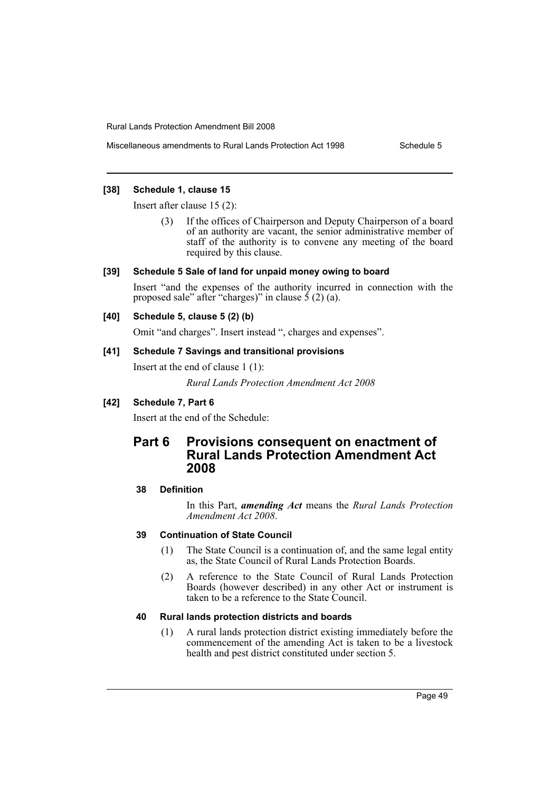### **[38] Schedule 1, clause 15**

Insert after clause 15 (2):

If the offices of Chairperson and Deputy Chairperson of a board of an authority are vacant, the senior administrative member of staff of the authority is to convene any meeting of the board required by this clause.

### **[39] Schedule 5 Sale of land for unpaid money owing to board**

Insert "and the expenses of the authority incurred in connection with the proposed sale" after "charges)" in clause  $\frac{5}{2}$  (2) (a).

### **[40] Schedule 5, clause 5 (2) (b)**

Omit "and charges". Insert instead ", charges and expenses".

### **[41] Schedule 7 Savings and transitional provisions**

Insert at the end of clause 1 (1):

*Rural Lands Protection Amendment Act 2008*

### **[42] Schedule 7, Part 6**

Insert at the end of the Schedule:

## **Part 6 Provisions consequent on enactment of Rural Lands Protection Amendment Act 2008**

### **38 Definition**

In this Part, *amending Act* means the *Rural Lands Protection Amendment Act 2008*.

### **39 Continuation of State Council**

- (1) The State Council is a continuation of, and the same legal entity as, the State Council of Rural Lands Protection Boards.
- (2) A reference to the State Council of Rural Lands Protection Boards (however described) in any other Act or instrument is taken to be a reference to the State Council.

### **40 Rural lands protection districts and boards**

(1) A rural lands protection district existing immediately before the commencement of the amending Act is taken to be a livestock health and pest district constituted under section 5.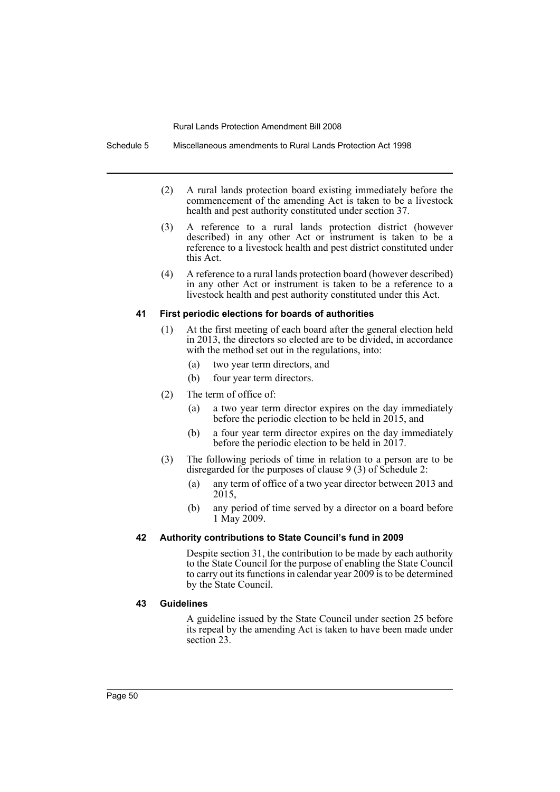Schedule 5 Miscellaneous amendments to Rural Lands Protection Act 1998

- (2) A rural lands protection board existing immediately before the commencement of the amending Act is taken to be a livestock health and pest authority constituted under section 37.
- (3) A reference to a rural lands protection district (however described) in any other Act or instrument is taken to be a reference to a livestock health and pest district constituted under this Act.
- (4) A reference to a rural lands protection board (however described) in any other Act or instrument is taken to be a reference to a livestock health and pest authority constituted under this Act.

#### **41 First periodic elections for boards of authorities**

- (1) At the first meeting of each board after the general election held in 2013, the directors so elected are to be divided, in accordance with the method set out in the regulations, into:
	- (a) two year term directors, and
	- (b) four year term directors.
- (2) The term of office of:
	- (a) a two year term director expires on the day immediately before the periodic election to be held in 2015, and
	- (b) a four year term director expires on the day immediately before the periodic election to be held in 2017.
- (3) The following periods of time in relation to a person are to be disregarded for the purposes of clause 9 (3) of Schedule 2:
	- (a) any term of office of a two year director between 2013 and 2015,
	- (b) any period of time served by a director on a board before 1 May 2009.

### **42 Authority contributions to State Council's fund in 2009**

Despite section 31, the contribution to be made by each authority to the State Council for the purpose of enabling the State Council to carry out its functions in calendar year 2009 is to be determined by the State Council.

### **43 Guidelines**

A guideline issued by the State Council under section 25 before its repeal by the amending Act is taken to have been made under section 23.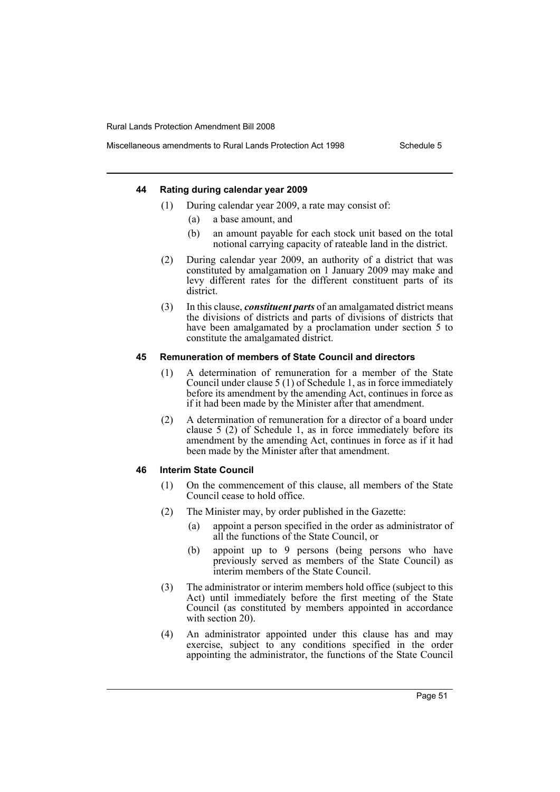#### **44 Rating during calendar year 2009**

- (1) During calendar year 2009, a rate may consist of:
	- (a) a base amount, and
	- (b) an amount payable for each stock unit based on the total notional carrying capacity of rateable land in the district.
- (2) During calendar year 2009, an authority of a district that was constituted by amalgamation on 1 January 2009 may make and levy different rates for the different constituent parts of its district.
- (3) In this clause, *constituent parts* of an amalgamated district means the divisions of districts and parts of divisions of districts that have been amalgamated by a proclamation under section 5 to constitute the amalgamated district.

### **45 Remuneration of members of State Council and directors**

- (1) A determination of remuneration for a member of the State Council under clause 5 (1) of Schedule 1, as in force immediately before its amendment by the amending Act, continues in force as if it had been made by the Minister after that amendment.
- (2) A determination of remuneration for a director of a board under clause 5 (2) of Schedule 1, as in force immediately before its amendment by the amending Act, continues in force as if it had been made by the Minister after that amendment.

#### **46 Interim State Council**

- (1) On the commencement of this clause, all members of the State Council cease to hold office.
- (2) The Minister may, by order published in the Gazette:
	- (a) appoint a person specified in the order as administrator of all the functions of the State Council, or
	- (b) appoint up to 9 persons (being persons who have previously served as members of the State Council) as interim members of the State Council.
- (3) The administrator or interim members hold office (subject to this Act) until immediately before the first meeting of the State Council (as constituted by members appointed in accordance with section 20).
- (4) An administrator appointed under this clause has and may exercise, subject to any conditions specified in the order appointing the administrator, the functions of the State Council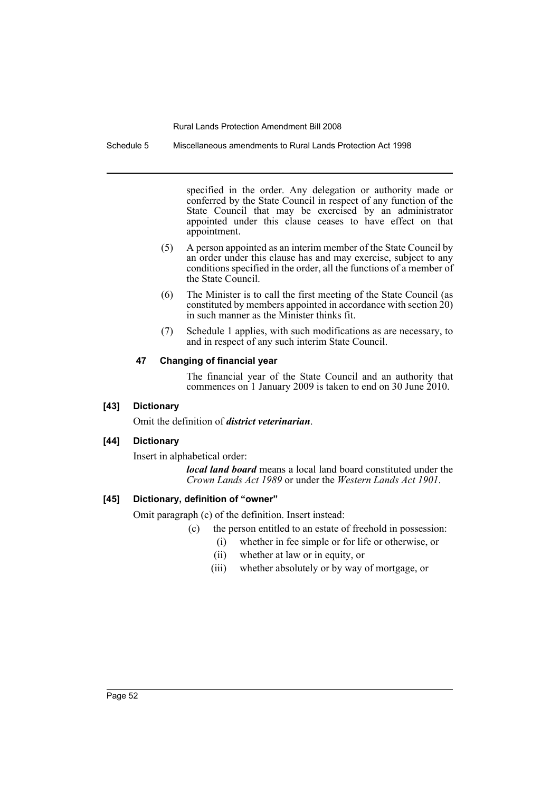Schedule 5 Miscellaneous amendments to Rural Lands Protection Act 1998

specified in the order. Any delegation or authority made or conferred by the State Council in respect of any function of the State Council that may be exercised by an administrator appointed under this clause ceases to have effect on that appointment.

- (5) A person appointed as an interim member of the State Council by an order under this clause has and may exercise, subject to any conditions specified in the order, all the functions of a member of the State Council.
- (6) The Minister is to call the first meeting of the State Council (as constituted by members appointed in accordance with section  $\hat{20}$ ) in such manner as the Minister thinks fit.
- (7) Schedule 1 applies, with such modifications as are necessary, to and in respect of any such interim State Council.

### **47 Changing of financial year**

The financial year of the State Council and an authority that commences on 1 January 2009 is taken to end on 30 June 2010.

### **[43] Dictionary**

Omit the definition of *district veterinarian*.

### **[44] Dictionary**

Insert in alphabetical order:

*local land board* means a local land board constituted under the *Crown Lands Act 1989* or under the *Western Lands Act 1901*.

### **[45] Dictionary, definition of "owner"**

Omit paragraph (c) of the definition. Insert instead:

- (c) the person entitled to an estate of freehold in possession:
	- (i) whether in fee simple or for life or otherwise, or
		- (ii) whether at law or in equity, or
	- (iii) whether absolutely or by way of mortgage, or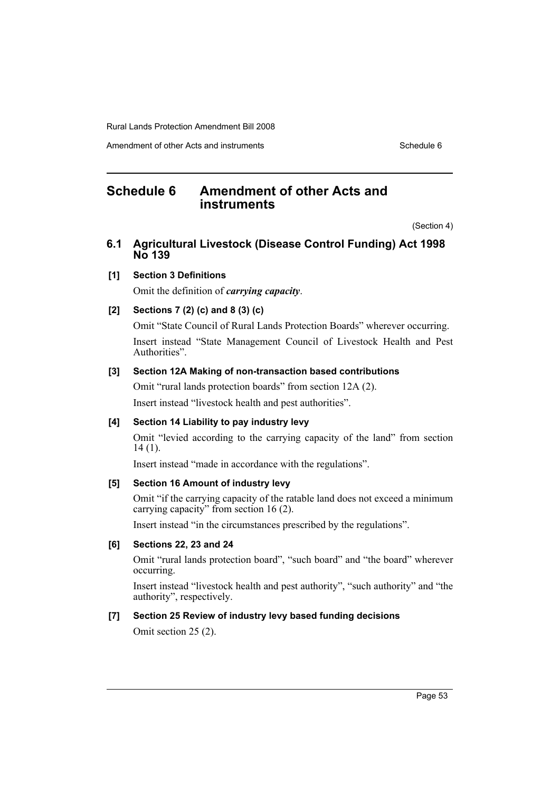Amendment of other Acts and instruments Schedule 6

## <span id="page-54-0"></span>**Schedule 6 Amendment of other Acts and instruments**

(Section 4)

## **6.1 Agricultural Livestock (Disease Control Funding) Act 1998 No 139**

### **[1] Section 3 Definitions**

Omit the definition of *carrying capacity*.

### **[2] Sections 7 (2) (c) and 8 (3) (c)**

Omit "State Council of Rural Lands Protection Boards" wherever occurring. Insert instead "State Management Council of Livestock Health and Pest Authorities".

### **[3] Section 12A Making of non-transaction based contributions**

Omit "rural lands protection boards" from section 12A (2).

Insert instead "livestock health and pest authorities".

### **[4] Section 14 Liability to pay industry levy**

Omit "levied according to the carrying capacity of the land" from section 14 (1).

Insert instead "made in accordance with the regulations".

### **[5] Section 16 Amount of industry levy**

Omit "if the carrying capacity of the ratable land does not exceed a minimum carrying capacity" from section 16 (2).

Insert instead "in the circumstances prescribed by the regulations".

### **[6] Sections 22, 23 and 24**

Omit "rural lands protection board", "such board" and "the board" wherever occurring.

Insert instead "livestock health and pest authority", "such authority" and "the authority", respectively.

### **[7] Section 25 Review of industry levy based funding decisions**

Omit section 25 (2).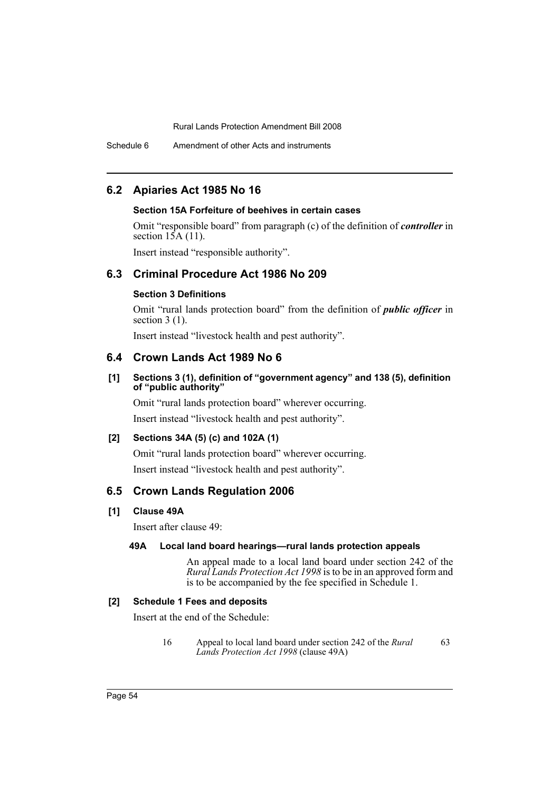Schedule 6 Amendment of other Acts and instruments

### **6.2 Apiaries Act 1985 No 16**

### **Section 15A Forfeiture of beehives in certain cases**

Omit "responsible board" from paragraph (c) of the definition of *controller* in section  $15A(11)$ .

Insert instead "responsible authority".

## **6.3 Criminal Procedure Act 1986 No 209**

### **Section 3 Definitions**

Omit "rural lands protection board" from the definition of *public officer* in section  $3(1)$ .

Insert instead "livestock health and pest authority".

### **6.4 Crown Lands Act 1989 No 6**

### **[1] Sections 3 (1), definition of "government agency" and 138 (5), definition of "public authority"**

Omit "rural lands protection board" wherever occurring.

Insert instead "livestock health and pest authority".

### **[2] Sections 34A (5) (c) and 102A (1)**

Omit "rural lands protection board" wherever occurring. Insert instead "livestock health and pest authority".

### **6.5 Crown Lands Regulation 2006**

#### **[1] Clause 49A**

Insert after clause 49:

### **49A Local land board hearings—rural lands protection appeals**

An appeal made to a local land board under section 242 of the *Rural Lands Protection Act 1998* is to be in an approved form and is to be accompanied by the fee specified in Schedule 1.

### **[2] Schedule 1 Fees and deposits**

Insert at the end of the Schedule:

16 Appeal to local land board under section 242 of the *Rural Lands Protection Act 1998* (clause 49A) 63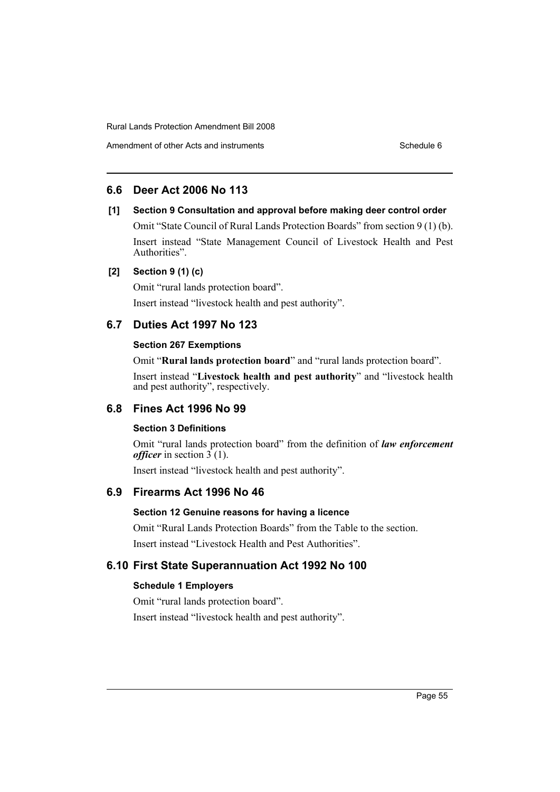## **6.6 Deer Act 2006 No 113**

### **[1] Section 9 Consultation and approval before making deer control order**

Omit "State Council of Rural Lands Protection Boards" from section 9 (1) (b). Insert instead "State Management Council of Livestock Health and Pest Authorities".

### **[2] Section 9 (1) (c)**

Omit "rural lands protection board".

Insert instead "livestock health and pest authority".

### **6.7 Duties Act 1997 No 123**

### **Section 267 Exemptions**

Omit "**Rural lands protection board**" and "rural lands protection board".

Insert instead "**Livestock health and pest authority**" and "livestock health and pest authority", respectively.

### **6.8 Fines Act 1996 No 99**

### **Section 3 Definitions**

Omit "rural lands protection board" from the definition of *law enforcement officer* in section  $3(1)$ .

Insert instead "livestock health and pest authority".

### **6.9 Firearms Act 1996 No 46**

### **Section 12 Genuine reasons for having a licence**

Omit "Rural Lands Protection Boards" from the Table to the section. Insert instead "Livestock Health and Pest Authorities".

### **6.10 First State Superannuation Act 1992 No 100**

#### **Schedule 1 Employers**

Omit "rural lands protection board". Insert instead "livestock health and pest authority".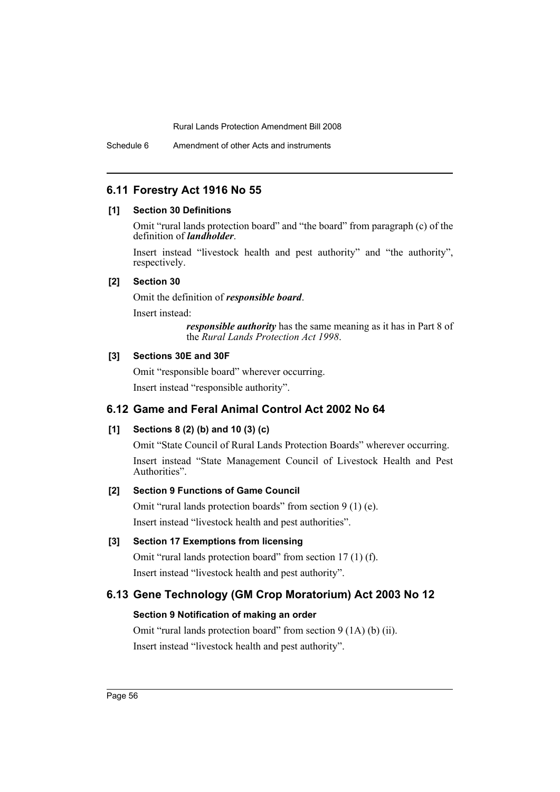## **6.11 Forestry Act 1916 No 55**

#### **[1] Section 30 Definitions**

Omit "rural lands protection board" and "the board" from paragraph (c) of the definition of *landholder*.

Insert instead "livestock health and pest authority" and "the authority", respectively.

#### **[2] Section 30**

Omit the definition of *responsible board*.

Insert instead:

*responsible authority* has the same meaning as it has in Part 8 of the *Rural Lands Protection Act 1998*.

### **[3] Sections 30E and 30F**

Omit "responsible board" wherever occurring. Insert instead "responsible authority".

## **6.12 Game and Feral Animal Control Act 2002 No 64**

### **[1] Sections 8 (2) (b) and 10 (3) (c)**

Omit "State Council of Rural Lands Protection Boards" wherever occurring. Insert instead "State Management Council of Livestock Health and Pest Authorities".

### **[2] Section 9 Functions of Game Council**

Omit "rural lands protection boards" from section 9 (1) (e). Insert instead "livestock health and pest authorities".

### **[3] Section 17 Exemptions from licensing**

Omit "rural lands protection board" from section 17 (1) (f). Insert instead "livestock health and pest authority".

### **6.13 Gene Technology (GM Crop Moratorium) Act 2003 No 12**

### **Section 9 Notification of making an order**

Omit "rural lands protection board" from section 9 (1A) (b) (ii). Insert instead "livestock health and pest authority".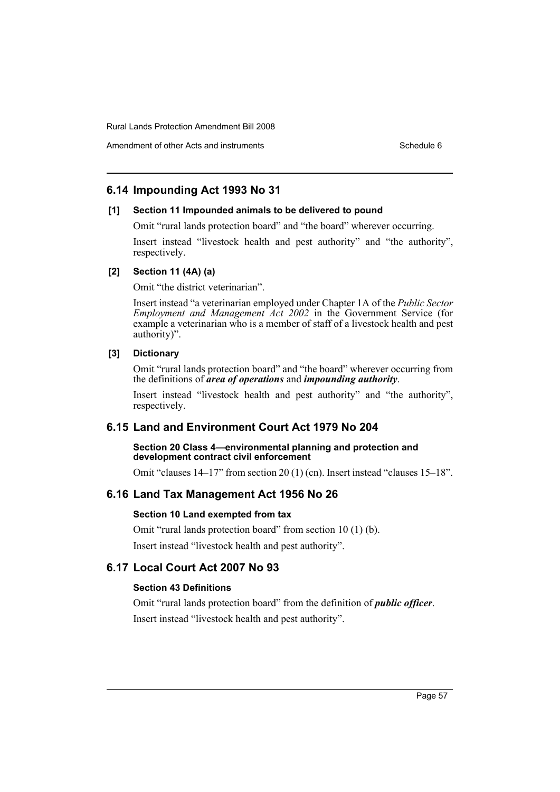## **6.14 Impounding Act 1993 No 31**

### **[1] Section 11 Impounded animals to be delivered to pound**

Omit "rural lands protection board" and "the board" wherever occurring.

Insert instead "livestock health and pest authority" and "the authority", respectively.

#### **[2] Section 11 (4A) (a)**

Omit "the district veterinarian".

Insert instead "a veterinarian employed under Chapter 1A of the *Public Sector Employment and Management Act 2002* in the Government Service (for example a veterinarian who is a member of staff of a livestock health and pest authority)".

### **[3] Dictionary**

Omit "rural lands protection board" and "the board" wherever occurring from the definitions of *area of operations* and *impounding authority*.

Insert instead "livestock health and pest authority" and "the authority", respectively.

### **6.15 Land and Environment Court Act 1979 No 204**

#### **Section 20 Class 4—environmental planning and protection and development contract civil enforcement**

Omit "clauses 14–17" from section 20 (1) (cn). Insert instead "clauses 15–18".

### **6.16 Land Tax Management Act 1956 No 26**

#### **Section 10 Land exempted from tax**

Omit "rural lands protection board" from section 10 (1) (b). Insert instead "livestock health and pest authority".

## **6.17 Local Court Act 2007 No 93**

### **Section 43 Definitions**

Omit "rural lands protection board" from the definition of *public officer*. Insert instead "livestock health and pest authority".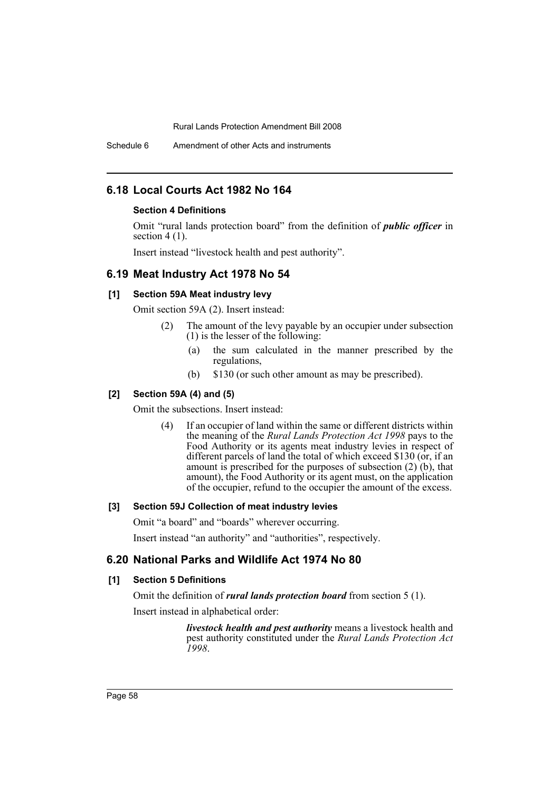Schedule 6 Amendment of other Acts and instruments

### **6.18 Local Courts Act 1982 No 164**

### **Section 4 Definitions**

Omit "rural lands protection board" from the definition of *public officer* in section  $4(1)$ .

Insert instead "livestock health and pest authority".

### **6.19 Meat Industry Act 1978 No 54**

### **[1] Section 59A Meat industry levy**

Omit section 59A (2). Insert instead:

- (2) The amount of the levy payable by an occupier under subsection (1) is the lesser of the following:
	- (a) the sum calculated in the manner prescribed by the regulations,
	- (b) \$130 (or such other amount as may be prescribed).

#### **[2] Section 59A (4) and (5)**

Omit the subsections. Insert instead:

(4) If an occupier of land within the same or different districts within the meaning of the *Rural Lands Protection Act 1998* pays to the Food Authority or its agents meat industry levies in respect of different parcels of land the total of which exceed \$130 (or, if an amount is prescribed for the purposes of subsection (2) (b), that amount), the Food Authority or its agent must, on the application of the occupier, refund to the occupier the amount of the excess.

#### **[3] Section 59J Collection of meat industry levies**

Omit "a board" and "boards" wherever occurring.

Insert instead "an authority" and "authorities", respectively.

### **6.20 National Parks and Wildlife Act 1974 No 80**

### **[1] Section 5 Definitions**

Omit the definition of *rural lands protection board* from section 5 (1).

Insert instead in alphabetical order:

*livestock health and pest authority* means a livestock health and pest authority constituted under the *Rural Lands Protection Act 1998*.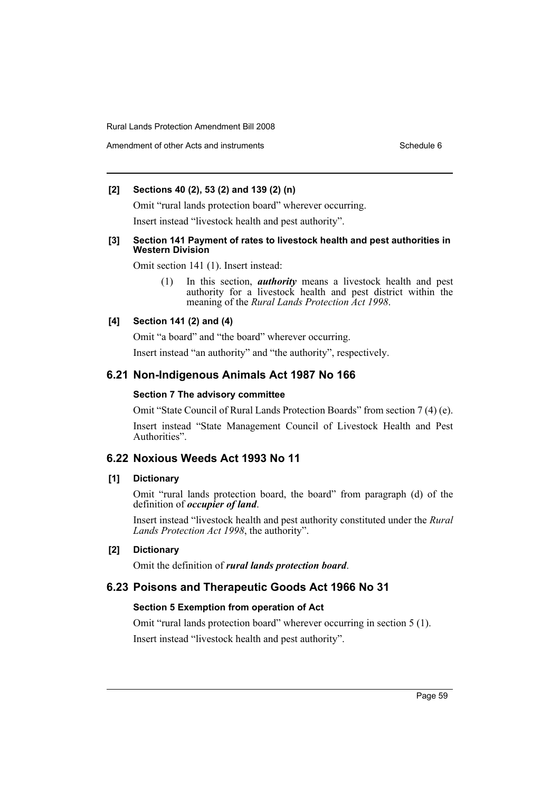### **[2] Sections 40 (2), 53 (2) and 139 (2) (n)**

Omit "rural lands protection board" wherever occurring.

Insert instead "livestock health and pest authority".

#### **[3] Section 141 Payment of rates to livestock health and pest authorities in Western Division**

Omit section 141 (1). Insert instead:

(1) In this section, *authority* means a livestock health and pest authority for a livestock health and pest district within the meaning of the *Rural Lands Protection Act 1998*.

### **[4] Section 141 (2) and (4)**

Omit "a board" and "the board" wherever occurring.

Insert instead "an authority" and "the authority", respectively.

### **6.21 Non-Indigenous Animals Act 1987 No 166**

#### **Section 7 The advisory committee**

Omit "State Council of Rural Lands Protection Boards" from section 7 (4) (e).

Insert instead "State Management Council of Livestock Health and Pest Authorities".

### **6.22 Noxious Weeds Act 1993 No 11**

### **[1] Dictionary**

Omit "rural lands protection board, the board" from paragraph (d) of the definition of *occupier of land*.

Insert instead "livestock health and pest authority constituted under the *Rural Lands Protection Act 1998*, the authority".

### **[2] Dictionary**

Omit the definition of *rural lands protection board*.

### **6.23 Poisons and Therapeutic Goods Act 1966 No 31**

#### **Section 5 Exemption from operation of Act**

Omit "rural lands protection board" wherever occurring in section 5 (1).

Insert instead "livestock health and pest authority".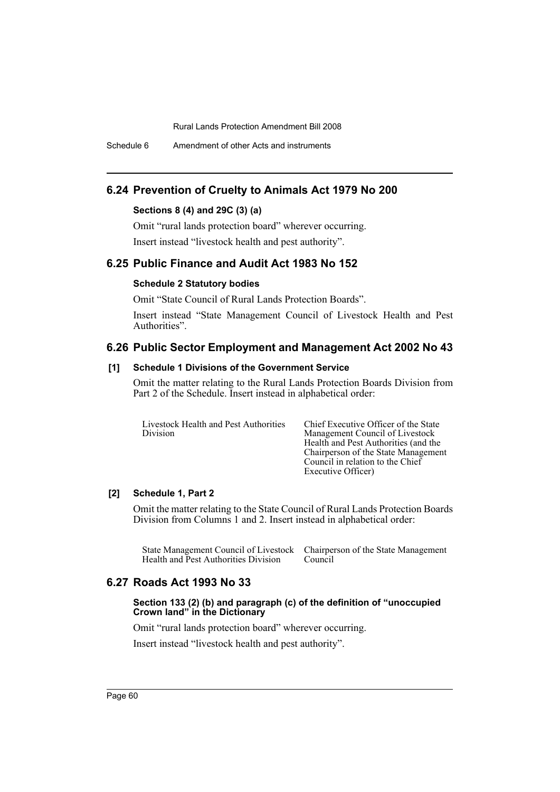Schedule 6 Amendment of other Acts and instruments

### **6.24 Prevention of Cruelty to Animals Act 1979 No 200**

### **Sections 8 (4) and 29C (3) (a)**

Omit "rural lands protection board" wherever occurring.

Insert instead "livestock health and pest authority".

### **6.25 Public Finance and Audit Act 1983 No 152**

### **Schedule 2 Statutory bodies**

Omit "State Council of Rural Lands Protection Boards".

Insert instead "State Management Council of Livestock Health and Pest Authorities".

### **6.26 Public Sector Employment and Management Act 2002 No 43**

### **[1] Schedule 1 Divisions of the Government Service**

Omit the matter relating to the Rural Lands Protection Boards Division from Part 2 of the Schedule. Insert instead in alphabetical order:

| Livestock Health and Pest Authorities | <b>Chief Execut</b> |
|---------------------------------------|---------------------|
| <b>Division</b>                       | Management          |
|                                       | Health and P        |
|                                       | Chairarocon         |

tive Officer of the State Council of Livestock est Authorities (and the Chairperson of the State Management Council in relation to the Chief Executive Officer)

### **[2] Schedule 1, Part 2**

Omit the matter relating to the State Council of Rural Lands Protection Boards Division from Columns 1 and 2. Insert instead in alphabetical order:

State Management Council of Livestock Chairperson of the State Management Health and Pest Authorities Division Council

## **6.27 Roads Act 1993 No 33**

#### **Section 133 (2) (b) and paragraph (c) of the definition of "unoccupied Crown land" in the Dictionary**

Omit "rural lands protection board" wherever occurring.

Insert instead "livestock health and pest authority".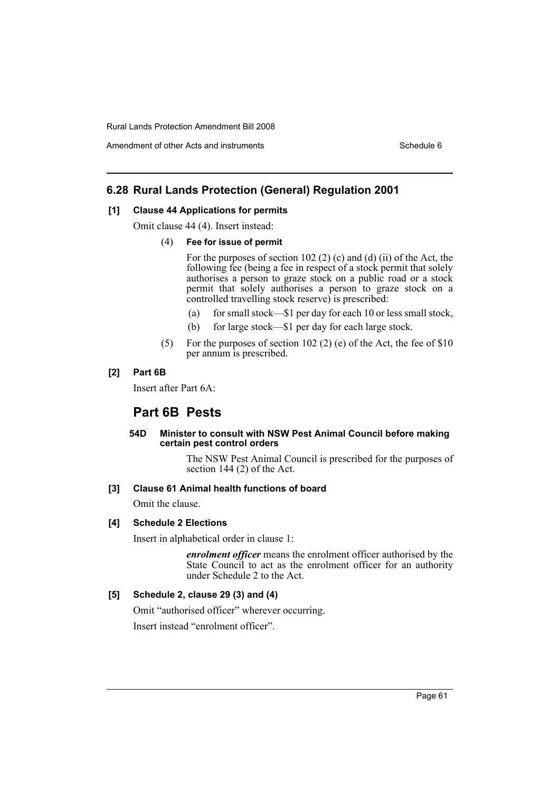## **6.28 Rural Lands Protection (General) Regulation 2001**

#### **[1] Clause 44 Applications for permits**

Omit clause 44 (4). Insert instead:

#### (4) **Fee for issue of permit**

For the purposes of section 102  $(2)$   $(c)$  and  $(d)$   $(ii)$  of the Act, the following fee (being a fee in respect of a stock permit that solely authorises a person to graze stock on a public road or a stock permit that solely authorises a person to graze stock on a controlled travelling stock reserve) is prescribed:

- (a) for small stock—\$1 per day for each 10 or less small stock,
- (b) for large stock—\$1 per day for each large stock.
- (5) For the purposes of section 102 (2) (e) of the Act, the fee of \$10 per annum is prescribed.

### **[2] Part 6B**

Insert after Part 6A:

### **Part 6B Pests**

#### **54D Minister to consult with NSW Pest Animal Council before making certain pest control orders**

The NSW Pest Animal Council is prescribed for the purposes of section 144 (2) of the Act.

#### **[3] Clause 61 Animal health functions of board**

Omit the clause.

#### **[4] Schedule 2 Elections**

Insert in alphabetical order in clause 1:

*enrolment officer* means the enrolment officer authorised by the State Council to act as the enrolment officer for an authority under Schedule 2 to the Act.

### **[5] Schedule 2, clause 29 (3) and (4)**

Omit "authorised officer" wherever occurring. Insert instead "enrolment officer".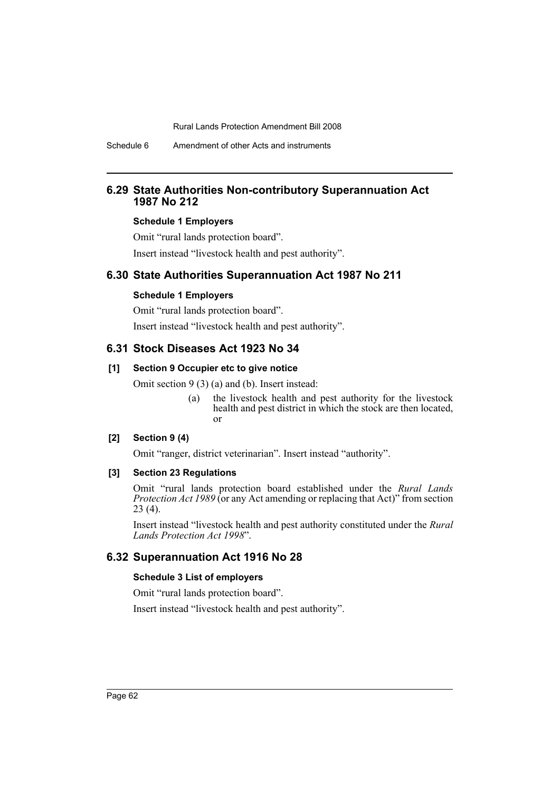Schedule 6 Amendment of other Acts and instruments

### **6.29 State Authorities Non-contributory Superannuation Act 1987 No 212**

#### **Schedule 1 Employers**

Omit "rural lands protection board".

Insert instead "livestock health and pest authority".

### **6.30 State Authorities Superannuation Act 1987 No 211**

### **Schedule 1 Employers**

Omit "rural lands protection board".

Insert instead "livestock health and pest authority".

### **6.31 Stock Diseases Act 1923 No 34**

### **[1] Section 9 Occupier etc to give notice**

Omit section 9 (3) (a) and (b). Insert instead:

(a) the livestock health and pest authority for the livestock health and pest district in which the stock are then located, or

#### **[2] Section 9 (4)**

Omit "ranger, district veterinarian". Insert instead "authority".

#### **[3] Section 23 Regulations**

Omit "rural lands protection board established under the *Rural Lands Protection Act 1989* (or any Act amending or replacing that Act)" from section 23 (4).

Insert instead "livestock health and pest authority constituted under the *Rural Lands Protection Act 1998*".

### **6.32 Superannuation Act 1916 No 28**

#### **Schedule 3 List of employers**

Omit "rural lands protection board".

Insert instead "livestock health and pest authority".